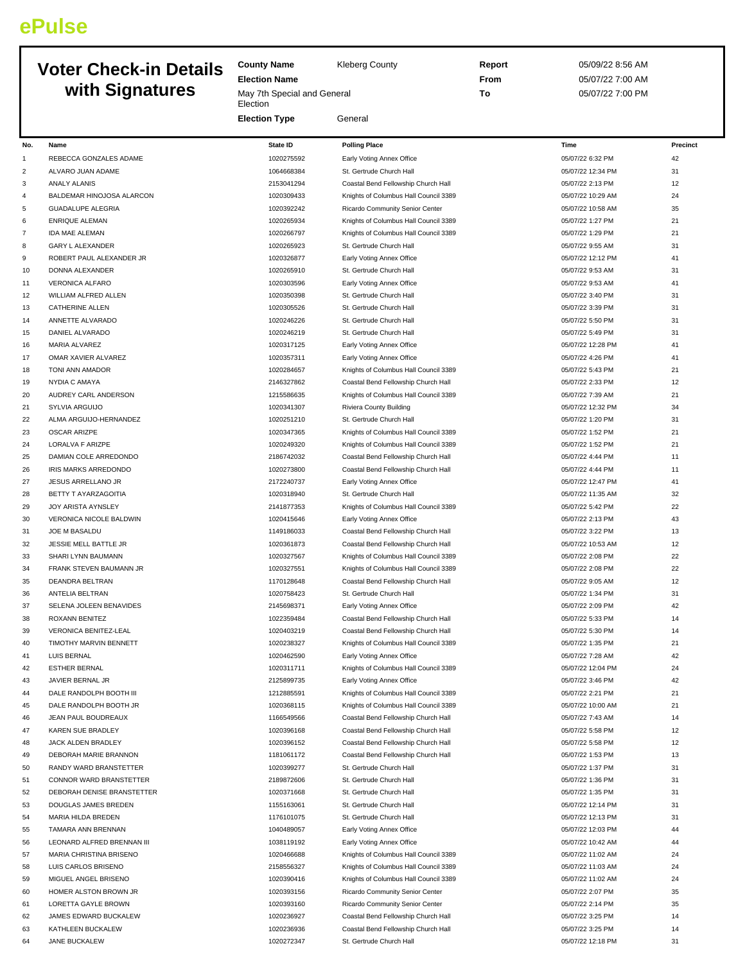## **ePulse**

## **Voter Check-in Details with Signatures**

**County Name** Kleberg County **Election Name** May 7th Special and General **Election Election Type** General **Report** 05/09/22 8:56 AM **From** 05/07/22 7:00 AM **To** 05/07/22 7:00 PM **No. Name State ID Polling Place Time Precinct** 1 REBECCA GONZALES ADAME 1020275592 Early Voting Annex Office 6 and 1020275592 Early Voting Annex Office 2 ALVARO JUAN ADAME 1064668384 St. Gertrude Church Hall 1064668384 St. Gertrude Church Hall 105/07/22 12:34 PM 31

| 3  | ANALY ALANIS                       | 2153041294               | Coastal Bend Fellowship Church Hall   | 05/07/22 2:13 PM  | 12       |
|----|------------------------------------|--------------------------|---------------------------------------|-------------------|----------|
| 4  | BALDEMAR HINOJOSA ALARCON          | 1020309433               | Knights of Columbus Hall Council 3389 | 05/07/22 10:29 AM | 24       |
| 5  | <b>GUADALUPE ALEGRIA</b>           | 1020392242               | Ricardo Community Senior Center       | 05/07/22 10:58 AM | 35       |
| 6  | <b>ENRIQUE ALEMAN</b>              | 1020265934               | Knights of Columbus Hall Council 3389 | 05/07/22 1:27 PM  | 21       |
| 7  | IDA MAE ALEMAN                     | 1020266797               | Knights of Columbus Hall Council 3389 | 05/07/22 1:29 PM  | 21       |
| 8  | <b>GARY L ALEXANDER</b>            | 1020265923               | St. Gertrude Church Hall              | 05/07/22 9:55 AM  | 31       |
| 9  | ROBERT PAUL ALEXANDER JR           | 1020326877               | Early Voting Annex Office             | 05/07/22 12:12 PM | 41       |
| 10 | DONNA ALEXANDER                    | 1020265910               | St. Gertrude Church Hall              | 05/07/22 9:53 AM  | 31       |
| 11 | VERONICA ALFARO                    | 1020303596               | Early Voting Annex Office             | 05/07/22 9:53 AM  | 41       |
| 12 | WILLIAM ALFRED ALLEN               | 1020350398               | St. Gertrude Church Hall              | 05/07/22 3:40 PM  | 31       |
| 13 | CATHERINE ALLEN                    | 1020305526               | St. Gertrude Church Hall              | 05/07/22 3:39 PM  | 31       |
| 14 | ANNETTE ALVARADO                   | 1020246226               | St. Gertrude Church Hall              | 05/07/22 5:50 PM  | 31       |
| 15 | DANIEL ALVARADO                    | 1020246219               | St. Gertrude Church Hall              | 05/07/22 5:49 PM  | 31       |
| 16 | MARIA ALVAREZ                      | 1020317125               | Early Voting Annex Office             | 05/07/22 12:28 PM | 41       |
| 17 | OMAR XAVIER ALVAREZ                | 1020357311               | Early Voting Annex Office             | 05/07/22 4:26 PM  | 41       |
| 18 | TONI ANN AMADOR                    | 1020284657               | Knights of Columbus Hall Council 3389 | 05/07/22 5:43 PM  | 21       |
| 19 | <b>NYDIA C AMAYA</b>               | 2146327862               | Coastal Bend Fellowship Church Hall   | 05/07/22 2:33 PM  | 12       |
| 20 | AUDREY CARL ANDERSON               | 1215586635               | Knights of Columbus Hall Council 3389 | 05/07/22 7:39 AM  | 21       |
| 21 | SYLVIA ARGUIJO                     | 1020341307               | Riviera County Building               | 05/07/22 12:32 PM | 34       |
| 22 | ALMA ARGUIJO-HERNANDEZ             | 1020251210               | St. Gertrude Church Hall              | 05/07/22 1:20 PM  | 31       |
| 23 | OSCAR ARIZPE                       | 1020347365               | Knights of Columbus Hall Council 3389 | 05/07/22 1:52 PM  | 21       |
| 24 | LORALVA F ARIZPE                   | 1020249320               | Knights of Columbus Hall Council 3389 | 05/07/22 1:52 PM  | 21       |
| 25 | DAMIAN COLE ARREDONDO              | 2186742032               | Coastal Bend Fellowship Church Hall   | 05/07/22 4:44 PM  | 11       |
| 26 | IRIS MARKS ARREDONDO               | 1020273800               | Coastal Bend Fellowship Church Hall   | 05/07/22 4:44 PM  | 11       |
| 27 | JESUS ARRELLANO JR                 | 2172240737               | Early Voting Annex Office             | 05/07/22 12:47 PM | 41       |
| 28 | BETTY T AYARZAGOITIA               | 1020318940               | St. Gertrude Church Hall              | 05/07/22 11:35 AM | 32       |
| 29 | <b>JOY ARISTA AYNSLEY</b>          | 2141877353               | Knights of Columbus Hall Council 3389 | 05/07/22 5:42 PM  | 22       |
| 30 | VERONICA NICOLE BALDWIN            | 1020415646               | Early Voting Annex Office             | 05/07/22 2:13 PM  | 43       |
| 31 | JOE M BASALDU                      | 1149186033               | Coastal Bend Fellowship Church Hall   | 05/07/22 3:22 PM  | 13       |
| 32 | JESSIE MELL BATTLE JR              | 1020361873               | Coastal Bend Fellowship Church Hall   | 05/07/22 10:53 AM | 12       |
| 33 | SHARI LYNN BAUMANN                 | 1020327567               | Knights of Columbus Hall Council 3389 | 05/07/22 2:08 PM  | 22       |
| 34 | FRANK STEVEN BAUMANN JR            | 1020327551               | Knights of Columbus Hall Council 3389 | 05/07/22 2:08 PM  | 22       |
|    | <b>DEANDRA BELTRAN</b>             | 1170128648               |                                       | 05/07/22 9:05 AM  | 12       |
| 35 |                                    |                          | Coastal Bend Fellowship Church Hall   |                   | 31       |
| 36 | ANTELIA BELTRAN                    | 1020758423               | St. Gertrude Church Hall              | 05/07/22 1:34 PM  | 42       |
| 37 | SELENA JOLEEN BENAVIDES            | 2145698371               | Early Voting Annex Office             | 05/07/22 2:09 PM  |          |
| 38 | ROXANN BENITEZ                     | 1022359484               | Coastal Bend Fellowship Church Hall   | 05/07/22 5:33 PM  | 14<br>14 |
| 39 | <b>VERONICA BENITEZ-LEAL</b>       | 1020403219               | Coastal Bend Fellowship Church Hall   | 05/07/22 5:30 PM  |          |
| 40 | TIMOTHY MARVIN BENNETT             | 1020238327               | Knights of Columbus Hall Council 3389 | 05/07/22 1:35 PM  | 21       |
| 41 | <b>LUIS BERNAL</b>                 | 1020462590               | Early Voting Annex Office             | 05/07/22 7:28 AM  | 42       |
| 42 | <b>ESTHER BERNAL</b>               | 1020311711               | Knights of Columbus Hall Council 3389 | 05/07/22 12:04 PM | 24       |
| 43 | JAVIER BERNAL JR                   | 2125899735               | Early Voting Annex Office             | 05/07/22 3:46 PM  | 42       |
| 44 | DALE RANDOLPH BOOTH III            | 1212885591<br>1020368115 | Knights of Columbus Hall Council 3389 | 05/07/22 2:21 PM  | 21       |
| 45 | DALE RANDOLPH BOOTH JR             |                          | Knights of Columbus Hall Council 3389 | 05/07/22 10:00 AM | 21       |
| 46 | JEAN PAUL BOUDREAUX                | 1166549566               | Coastal Bend Fellowship Church Hall   | 05/07/22 7:43 AM  | 14       |
| 47 | KAREN SUE BRADLEY                  | 1020396168               | Coastal Bend Fellowship Church Hall   | 05/07/22 5:58 PM  | 12       |
| 48 | JACK ALDEN BRADLEY                 | 1020396152               | Coastal Bend Fellowship Church Hall   | 05/07/22 5:58 PM  | 12       |
| 49 | DEBORAH MARIE BRANNON              | 1181061172               | Coastal Bend Fellowship Church Hall   | 05/07/22 1:53 PM  | 13       |
| 50 | RANDY WARD BRANSTETTER             | 1020399277               | St. Gertrude Church Hall              | 05/07/22 1:37 PM  | 31       |
| 51 | CONNOR WARD BRANSTETTER            | 2189872606               | St. Gertrude Church Hall              | 05/07/22 1:36 PM  | 31       |
| 52 | DEBORAH DENISE BRANSTETTER         | 1020371668               | St. Gertrude Church Hall              | 05/07/22 1:35 PM  | 31       |
| 53 | DOUGLAS JAMES BREDEN               | 1155163061               | St. Gertrude Church Hall              | 05/07/22 12:14 PM | 31       |
| 54 | MARIA HILDA BREDEN                 | 1176101075               | St. Gertrude Church Hall              | 05/07/22 12:13 PM | 31       |
| 55 | TAMARA ANN BRENNAN                 | 1040489057               | Early Voting Annex Office             | 05/07/22 12:03 PM | 44       |
| 56 | LEONARD ALFRED BRENNAN III         | 1038119192               | Early Voting Annex Office             | 05/07/22 10:42 AM | 44       |
| 57 | MARIA CHRISTINA BRISENO            | 1020466688               | Knights of Columbus Hall Council 3389 | 05/07/22 11:02 AM | 24       |
| 58 | LUIS CARLOS BRISENO                | 2158556327               | Knights of Columbus Hall Council 3389 | 05/07/22 11:03 AM | 24       |
| 59 | MIGUEL ANGEL BRISENO               | 1020390416               | Knights of Columbus Hall Council 3389 | 05/07/22 11:02 AM | 24       |
| 60 | HOMER ALSTON BROWN JR              | 1020393156               | Ricardo Community Senior Center       | 05/07/22 2:07 PM  | 35       |
| 61 | LORETTA GAYLE BROWN                | 1020393160               | Ricardo Community Senior Center       | 05/07/22 2:14 PM  | 35       |
| 62 | JAMES EDWARD BUCKALEW              | 1020236927               | Coastal Bend Fellowship Church Hall   | 05/07/22 3:25 PM  | 14       |
| 63 | KATHLEEN BUCKALEW<br>JANE BUCKALEW | 1020236936               | Coastal Bend Fellowship Church Hall   | 05/07/22 3:25 PM  | 14       |
| 64 |                                    | 1020272347               | St. Gertrude Church Hall              | 05/07/22 12:18 PM | 31       |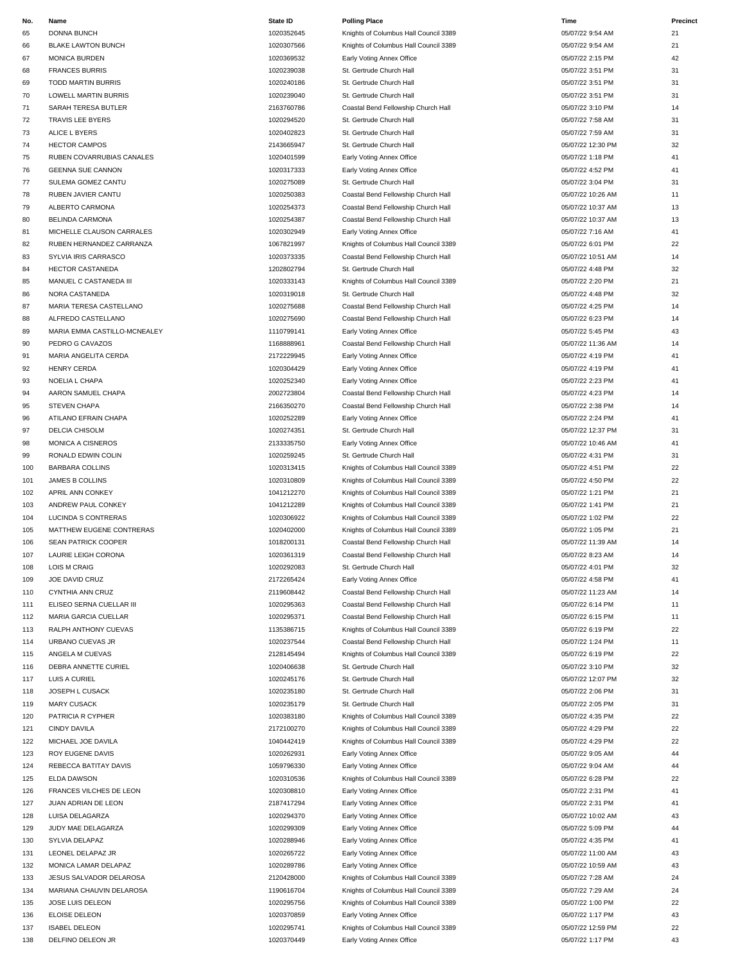| No.        | Name                         | <b>State ID</b> | <b>Polling Place</b>                                  | Time              | Precinct |
|------------|------------------------------|-----------------|-------------------------------------------------------|-------------------|----------|
| 65         | <b>DONNA BUNCH</b>           | 1020352645      | Knights of Columbus Hall Council 3389                 | 05/07/22 9:54 AM  | 21       |
| 66         | <b>BLAKE LAWTON BUNCH</b>    | 1020307566      | Knights of Columbus Hall Council 3389                 | 05/07/22 9:54 AM  | 21       |
| 67         | <b>MONICA BURDEN</b>         | 1020369532      | Early Voting Annex Office                             | 05/07/22 2:15 PM  | 42       |
| 68         | <b>FRANCES BURRIS</b>        | 1020239038      | St. Gertrude Church Hall                              | 05/07/22 3:51 PM  | 31       |
| 69         | <b>TODD MARTIN BURRIS</b>    | 1020240186      | St. Gertrude Church Hall                              | 05/07/22 3:51 PM  | 31       |
|            |                              |                 |                                                       | 05/07/22 3:51 PM  | 31       |
| 70         | LOWELL MARTIN BURRIS         | 1020239040      | St. Gertrude Church Hall                              |                   |          |
| 71         | SARAH TERESA BUTLER          | 2163760786      | Coastal Bend Fellowship Church Hall                   | 05/07/22 3:10 PM  | 14       |
| 72         | TRAVIS LEE BYERS             | 1020294520      | St. Gertrude Church Hall                              | 05/07/22 7:58 AM  | 31       |
| 73         | ALICE L BYERS                | 1020402823      | St. Gertrude Church Hall                              | 05/07/22 7:59 AM  | 31       |
| 74         | <b>HECTOR CAMPOS</b>         | 2143665947      | St. Gertrude Church Hall                              | 05/07/22 12:30 PM | 32       |
| 75         | RUBEN COVARRUBIAS CANALES    | 1020401599      | Early Voting Annex Office                             | 05/07/22 1:18 PM  | 41       |
| 76         | <b>GEENNA SUE CANNON</b>     | 1020317333      | Early Voting Annex Office                             | 05/07/22 4:52 PM  | 41       |
| 77         | SULEMA GOMEZ CANTU           | 1020275089      | St. Gertrude Church Hall                              | 05/07/22 3:04 PM  | 31       |
| 78         | RUBEN JAVIER CANTU           | 1020250383      | Coastal Bend Fellowship Church Hall                   | 05/07/22 10:26 AM | 11       |
| 79         | ALBERTO CARMONA              | 1020254373      | Coastal Bend Fellowship Church Hall                   | 05/07/22 10:37 AM | 13       |
| 80         | <b>BELINDA CARMONA</b>       | 1020254387      | Coastal Bend Fellowship Church Hall                   | 05/07/22 10:37 AM | 13       |
| 81         | MICHELLE CLAUSON CARRALES    | 1020302949      | Early Voting Annex Office                             | 05/07/22 7:16 AM  | 41       |
| 82         | RUBEN HERNANDEZ CARRANZA     | 1067821997      | Knights of Columbus Hall Council 3389                 | 05/07/22 6:01 PM  | 22       |
| 83         | SYLVIA IRIS CARRASCO         | 1020373335      | Coastal Bend Fellowship Church Hall                   | 05/07/22 10:51 AM | 14       |
| 84         | <b>HECTOR CASTANEDA</b>      | 1202802794      | St. Gertrude Church Hall                              | 05/07/22 4:48 PM  | 32       |
| 85         | MANUEL C CASTANEDA III       | 1020333143      | Knights of Columbus Hall Council 3389                 | 05/07/22 2:20 PM  | 21       |
| 86         | NORA CASTANEDA               | 1020319018      | St. Gertrude Church Hall                              | 05/07/22 4:48 PM  | 32       |
| 87         | MARIA TERESA CASTELLANO      | 1020275688      | Coastal Bend Fellowship Church Hall                   | 05/07/22 4:25 PM  | 14       |
| 88         | ALFREDO CASTELLANO           | 1020275690      | Coastal Bend Fellowship Church Hall                   | 05/07/22 6:23 PM  | 14       |
|            |                              |                 |                                                       |                   |          |
| 89         | MARIA EMMA CASTILLO-MCNEALEY | 1110799141      | Early Voting Annex Office                             | 05/07/22 5:45 PM  | 43       |
| 90         | PEDRO G CAVAZOS              | 1168888961      | Coastal Bend Fellowship Church Hall                   | 05/07/22 11:36 AM | 14       |
| 91         | MARIA ANGELITA CERDA         | 2172229945      | Early Voting Annex Office                             | 05/07/22 4:19 PM  | 41       |
| 92         | <b>HENRY CERDA</b>           | 1020304429      | Early Voting Annex Office                             | 05/07/22 4:19 PM  | 41       |
| 93         | NOELIA L CHAPA               | 1020252340      | Early Voting Annex Office                             | 05/07/22 2:23 PM  | 41       |
| 94         | AARON SAMUEL CHAPA           | 2002723804      | Coastal Bend Fellowship Church Hall                   | 05/07/22 4:23 PM  | 14       |
| 95         | <b>STEVEN CHAPA</b>          | 2166350270      | Coastal Bend Fellowship Church Hall                   | 05/07/22 2:38 PM  | 14       |
| 96         | ATILANO EFRAIN CHAPA         | 1020252289      | Early Voting Annex Office                             | 05/07/22 2:24 PM  | 41       |
| 97         | DELCIA CHISOLM               | 1020274351      | St. Gertrude Church Hall                              | 05/07/22 12:37 PM | 31       |
| 98         | MONICA A CISNEROS            | 2133335750      | Early Voting Annex Office                             | 05/07/22 10:46 AM | 41       |
| 99         | RONALD EDWIN COLIN           | 1020259245      | St. Gertrude Church Hall                              | 05/07/22 4:31 PM  | 31       |
| 100        | <b>BARBARA COLLINS</b>       | 1020313415      | Knights of Columbus Hall Council 3389                 | 05/07/22 4:51 PM  | 22       |
| 101        | JAMES B COLLINS              | 1020310809      | Knights of Columbus Hall Council 3389                 | 05/07/22 4:50 PM  | 22       |
| 102        | APRIL ANN CONKEY             | 1041212270      | Knights of Columbus Hall Council 3389                 | 05/07/22 1:21 PM  | 21       |
| 103        | ANDREW PAUL CONKEY           | 1041212289      | Knights of Columbus Hall Council 3389                 | 05/07/22 1:41 PM  | 21       |
| 104        | LUCINDA S CONTRERAS          | 1020306922      | Knights of Columbus Hall Council 3389                 | 05/07/22 1:02 PM  | 22       |
| 105        | MATTHEW EUGENE CONTRERAS     | 1020402000      | Knights of Columbus Hall Council 3389                 | 05/07/22 1:05 PM  | 21       |
| 106        | SEAN PATRICK COOPER          | 1018200131      | Coastal Bend Fellowship Church Hall                   | 05/07/22 11:39 AM | 14       |
| 107        | LAURIE LEIGH CORONA          | 1020361319      | Coastal Bend Fellowship Church Hall                   | 05/07/22 8:23 AM  | 14       |
|            |                              |                 |                                                       |                   | 32       |
| 108<br>109 | LOIS M CRAIG                 | 1020292083      | St. Gertrude Church Hall<br>Early Voting Annex Office | 05/07/22 4:01 PM  |          |
|            | JOE DAVID CRUZ               | 2172265424      |                                                       | 05/07/22 4:58 PM  | 41       |
| 110        | CYNTHIA ANN CRUZ             | 2119608442      | Coastal Bend Fellowship Church Hall                   | 05/07/22 11:23 AM | 14       |
| 111        | ELISEO SERNA CUELLAR III     | 1020295363      | Coastal Bend Fellowship Church Hall                   | 05/07/22 6:14 PM  | 11       |
| 112        | MARIA GARCIA CUELLAR         | 1020295371      | Coastal Bend Fellowship Church Hall                   | 05/07/22 6:15 PM  | 11       |
| 113        | RALPH ANTHONY CUEVAS         | 1135386715      | Knights of Columbus Hall Council 3389                 | 05/07/22 6:19 PM  | 22       |
| 114        | URBANO CUEVAS JR             | 1020237544      | Coastal Bend Fellowship Church Hall                   | 05/07/22 1:24 PM  | 11       |
| 115        | ANGELA M CUEVAS              | 2128145494      | Knights of Columbus Hall Council 3389                 | 05/07/22 6:19 PM  | 22       |
| 116        | DEBRA ANNETTE CURIEL         | 1020406638      | St. Gertrude Church Hall                              | 05/07/22 3:10 PM  | 32       |
| 117        | LUIS A CURIEL                | 1020245176      | St. Gertrude Church Hall                              | 05/07/22 12:07 PM | 32       |
| 118        | JOSEPH L CUSACK              | 1020235180      | St. Gertrude Church Hall                              | 05/07/22 2:06 PM  | 31       |
| 119        | <b>MARY CUSACK</b>           | 1020235179      | St. Gertrude Church Hall                              | 05/07/22 2:05 PM  | 31       |
| 120        | PATRICIA R CYPHER            | 1020383180      | Knights of Columbus Hall Council 3389                 | 05/07/22 4:35 PM  | 22       |
| 121        | <b>CINDY DAVILA</b>          | 2172100270      | Knights of Columbus Hall Council 3389                 | 05/07/22 4:29 PM  | 22       |
| 122        | MICHAEL JOE DAVILA           | 1040442419      | Knights of Columbus Hall Council 3389                 | 05/07/22 4:29 PM  | 22       |
| 123        | ROY EUGENE DAVIS             | 1020262931      | Early Voting Annex Office                             | 05/07/22 9:05 AM  | 44       |
| 124        | REBECCA BATITAY DAVIS        | 1059796330      | Early Voting Annex Office                             | 05/07/22 9:04 AM  | 44       |
| 125        | <b>ELDA DAWSON</b>           | 1020310536      | Knights of Columbus Hall Council 3389                 | 05/07/22 6:28 PM  | 22       |
| 126        | FRANCES VILCHES DE LEON      | 1020308810      | Early Voting Annex Office                             | 05/07/22 2:31 PM  | 41       |
| 127        | JUAN ADRIAN DE LEON          | 2187417294      | Early Voting Annex Office                             | 05/07/22 2:31 PM  | 41       |
| 128        | LUISA DELAGARZA              | 1020294370      | Early Voting Annex Office                             | 05/07/22 10:02 AM | 43       |
| 129        | JUDY MAE DELAGARZA           | 1020299309      | Early Voting Annex Office                             | 05/07/22 5:09 PM  | 44       |
| 130        | SYLVIA DELAPAZ               | 1020288946      | Early Voting Annex Office                             | 05/07/22 4:35 PM  | 41       |
|            |                              |                 |                                                       |                   | 43       |
| 131        | LEONEL DELAPAZ JR            | 1020265722      | Early Voting Annex Office                             | 05/07/22 11:00 AM |          |
| 132        | MONICA LAMAR DELAPAZ         | 1020289786      | Early Voting Annex Office                             | 05/07/22 10:59 AM | 43       |
| 133        | JESUS SALVADOR DELAROSA      | 2120428000      | Knights of Columbus Hall Council 3389                 | 05/07/22 7:28 AM  | 24       |
| 134        | MARIANA CHAUVIN DELAROSA     | 1190616704      | Knights of Columbus Hall Council 3389                 | 05/07/22 7:29 AM  | 24       |
| 135        | JOSE LUIS DELEON             | 1020295756      | Knights of Columbus Hall Council 3389                 | 05/07/22 1:00 PM  | 22       |
| 136        | ELOISE DELEON                | 1020370859      | Early Voting Annex Office                             | 05/07/22 1:17 PM  | 43       |
| 137        | <b>ISABEL DELEON</b>         | 1020295741      | Knights of Columbus Hall Council 3389                 | 05/07/22 12:59 PM | 22       |
| 138        | DELFINO DELEON JR            | 1020370449      | Early Voting Annex Office                             | 05/07/22 1:17 PM  | 43       |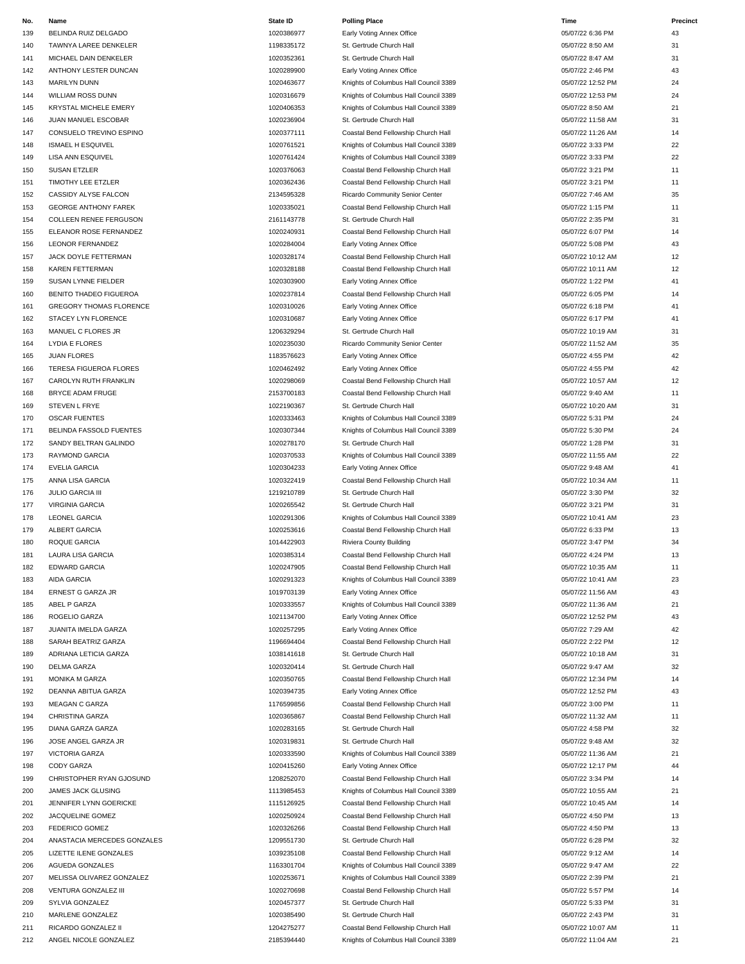| No. | Name                           | <b>State ID</b> | <b>Polling Place</b>                  | Time              | Precinct |
|-----|--------------------------------|-----------------|---------------------------------------|-------------------|----------|
| 139 | BELINDA RUIZ DELGADO           | 1020386977      | Early Voting Annex Office             | 05/07/22 6:36 PM  | 43       |
| 140 | TAWNYA LAREE DENKELER          | 1198335172      | St. Gertrude Church Hall              | 05/07/22 8:50 AM  | 31       |
| 141 | MICHAEL DAIN DENKELER          | 1020352361      | St. Gertrude Church Hall              | 05/07/22 8:47 AM  | 31       |
| 142 | ANTHONY LESTER DUNCAN          | 1020289900      | Early Voting Annex Office             | 05/07/22 2:46 PM  | 43       |
| 143 | <b>MARILYN DUNN</b>            | 1020463677      | Knights of Columbus Hall Council 3389 | 05/07/22 12:52 PM | 24       |
| 144 | <b>WILLIAM ROSS DUNN</b>       | 1020316679      | Knights of Columbus Hall Council 3389 | 05/07/22 12:53 PM | 24       |
| 145 | KRYSTAL MICHELE EMERY          | 1020406353      | Knights of Columbus Hall Council 3389 | 05/07/22 8:50 AM  | 21       |
|     |                                | 1020236904      |                                       |                   | 31       |
| 146 | JUAN MANUEL ESCOBAR            |                 | St. Gertrude Church Hall              | 05/07/22 11:58 AM |          |
| 147 | CONSUELO TREVINO ESPINO        | 1020377111      | Coastal Bend Fellowship Church Hall   | 05/07/22 11:26 AM | 14       |
| 148 | ISMAEL H ESQUIVEL              | 1020761521      | Knights of Columbus Hall Council 3389 | 05/07/22 3:33 PM  | 22       |
| 149 | LISA ANN ESQUIVEL              | 1020761424      | Knights of Columbus Hall Council 3389 | 05/07/22 3:33 PM  | 22       |
| 150 | SUSAN ETZLER                   | 1020376063      | Coastal Bend Fellowship Church Hall   | 05/07/22 3:21 PM  | 11       |
| 151 | TIMOTHY LEE ETZLER             | 1020362436      | Coastal Bend Fellowship Church Hall   | 05/07/22 3:21 PM  | 11       |
| 152 | CASSIDY ALYSE FALCON           | 2134595328      | Ricardo Community Senior Center       | 05/07/22 7:46 AM  | 35       |
| 153 | <b>GEORGE ANTHONY FAREK</b>    | 1020335021      | Coastal Bend Fellowship Church Hall   | 05/07/22 1:15 PM  | 11       |
| 154 | COLLEEN RENEE FERGUSON         | 2161143778      | St. Gertrude Church Hall              | 05/07/22 2:35 PM  | 31       |
| 155 | ELEANOR ROSE FERNANDEZ         | 1020240931      | Coastal Bend Fellowship Church Hall   | 05/07/22 6:07 PM  | 14       |
| 156 | <b>LEONOR FERNANDEZ</b>        | 1020284004      | Early Voting Annex Office             | 05/07/22 5:08 PM  | 43       |
| 157 | JACK DOYLE FETTERMAN           | 1020328174      | Coastal Bend Fellowship Church Hall   | 05/07/22 10:12 AM | 12       |
| 158 | <b>KAREN FETTERMAN</b>         | 1020328188      | Coastal Bend Fellowship Church Hall   | 05/07/22 10:11 AM | 12       |
| 159 | SUSAN LYNNE FIELDER            | 1020303900      | Early Voting Annex Office             | 05/07/22 1:22 PM  | 41       |
| 160 | BENITO THADEO FIGUEROA         | 1020237814      | Coastal Bend Fellowship Church Hall   | 05/07/22 6:05 PM  | 14       |
| 161 | <b>GREGORY THOMAS FLORENCE</b> | 1020310026      | Early Voting Annex Office             | 05/07/22 6:18 PM  | 41       |
|     |                                |                 |                                       |                   | 41       |
| 162 | STACEY LYN FLORENCE            | 1020310687      | Early Voting Annex Office             | 05/07/22 6:17 PM  |          |
| 163 | MANUEL C FLORES JR             | 1206329294      | St. Gertrude Church Hall              | 05/07/22 10:19 AM | 31       |
| 164 | <b>LYDIA E FLORES</b>          | 1020235030      | Ricardo Community Senior Center       | 05/07/22 11:52 AM | 35       |
| 165 | <b>JUAN FLORES</b>             | 1183576623      | Early Voting Annex Office             | 05/07/22 4:55 PM  | 42       |
| 166 | TERESA FIGUEROA FLORES         | 1020462492      | Early Voting Annex Office             | 05/07/22 4:55 PM  | 42       |
| 167 | CAROLYN RUTH FRANKLIN          | 1020298069      | Coastal Bend Fellowship Church Hall   | 05/07/22 10:57 AM | 12       |
| 168 | BRYCE ADAM FRUGE               | 2153700183      | Coastal Bend Fellowship Church Hall   | 05/07/22 9:40 AM  | 11       |
| 169 | STEVEN L FRYE                  | 1022190367      | St. Gertrude Church Hall              | 05/07/22 10:20 AM | 31       |
| 170 | <b>OSCAR FUENTES</b>           | 1020333463      | Knights of Columbus Hall Council 3389 | 05/07/22 5:31 PM  | 24       |
| 171 | BELINDA FASSOLD FUENTES        | 1020307344      | Knights of Columbus Hall Council 3389 | 05/07/22 5:30 PM  | 24       |
| 172 | SANDY BELTRAN GALINDO          | 1020278170      | St. Gertrude Church Hall              | 05/07/22 1:28 PM  | 31       |
| 173 | RAYMOND GARCIA                 | 1020370533      | Knights of Columbus Hall Council 3389 | 05/07/22 11:55 AM | 22       |
| 174 | <b>EVELIA GARCIA</b>           | 1020304233      | Early Voting Annex Office             | 05/07/22 9:48 AM  | 41       |
|     |                                |                 |                                       |                   | 11       |
| 175 | ANNA LISA GARCIA               | 1020322419      | Coastal Bend Fellowship Church Hall   | 05/07/22 10:34 AM |          |
| 176 | <b>JULIO GARCIA III</b>        | 1219210789      | St. Gertrude Church Hall              | 05/07/22 3:30 PM  | 32       |
| 177 | <b>VIRGINIA GARCIA</b>         | 1020265542      | St. Gertrude Church Hall              | 05/07/22 3:21 PM  | 31       |
| 178 | <b>LEONEL GARCIA</b>           | 1020291306      | Knights of Columbus Hall Council 3389 | 05/07/22 10:41 AM | 23       |
| 179 | ALBERT GARCIA                  | 1020253616      | Coastal Bend Fellowship Church Hall   | 05/07/22 6:33 PM  | 13       |
| 180 | ROQUE GARCIA                   | 1014422903      | Riviera County Building               | 05/07/22 3:47 PM  | 34       |
| 181 | <b>LAURA LISA GARCIA</b>       | 1020385314      | Coastal Bend Fellowship Church Hall   | 05/07/22 4:24 PM  | 13       |
| 182 | <b>EDWARD GARCIA</b>           | 1020247905      | Coastal Bend Fellowship Church Hall   | 05/07/22 10:35 AM | 11       |
| 183 | AIDA GARCIA                    | 1020291323      | Knights of Columbus Hall Council 3389 | 05/07/22 10:41 AM | 23       |
| 184 | ERNEST G GARZA JR              | 1019703139      | Early Voting Annex Office             | 05/07/22 11:56 AM | 43       |
| 185 | ABEL P GARZA                   | 1020333557      | Knights of Columbus Hall Council 3389 | 05/07/22 11:36 AM | 21       |
| 186 | ROGELIO GARZA                  | 1021134700      | Early Voting Annex Office             | 05/07/22 12:52 PM | 43       |
| 187 | JUANITA IMELDA GARZA           | 1020257295      | Early Voting Annex Office             | 05/07/22 7:29 AM  | 42       |
| 188 | SARAH BEATRIZ GARZA            | 1196694404      | Coastal Bend Fellowship Church Hall   | 05/07/22 2:22 PM  | 12       |
| 189 | ADRIANA LETICIA GARZA          | 1038141618      | St. Gertrude Church Hall              | 05/07/22 10:18 AM | 31       |
| 190 | <b>DELMA GARZA</b>             | 1020320414      | St. Gertrude Church Hall              | 05/07/22 9:47 AM  | 32       |
| 191 | <b>MONIKA M GARZA</b>          | 1020350765      | Coastal Bend Fellowship Church Hall   | 05/07/22 12:34 PM | 14       |
|     |                                |                 |                                       | 05/07/22 12:52 PM | 43       |
| 192 | DEANNA ABITUA GARZA            | 1020394735      | Early Voting Annex Office             |                   |          |
| 193 | MEAGAN C GARZA                 | 1176599856      | Coastal Bend Fellowship Church Hall   | 05/07/22 3:00 PM  | 11       |
| 194 | CHRISTINA GARZA                | 1020365867      | Coastal Bend Fellowship Church Hall   | 05/07/22 11:32 AM | 11       |
| 195 | DIANA GARZA GARZA              | 1020283165      | St. Gertrude Church Hall              | 05/07/22 4:58 PM  | 32       |
| 196 | JOSE ANGEL GARZA JR            | 1020319831      | St. Gertrude Church Hall              | 05/07/22 9:48 AM  | 32       |
| 197 | VICTORIA GARZA                 | 1020333590      | Knights of Columbus Hall Council 3389 | 05/07/22 11:36 AM | 21       |
| 198 | <b>CODY GARZA</b>              | 1020415260      | Early Voting Annex Office             | 05/07/22 12:17 PM | 44       |
| 199 | CHRISTOPHER RYAN GJOSUND       | 1208252070      | Coastal Bend Fellowship Church Hall   | 05/07/22 3:34 PM  | 14       |
| 200 | JAMES JACK GLUSING             | 1113985453      | Knights of Columbus Hall Council 3389 | 05/07/22 10:55 AM | 21       |
| 201 | JENNIFER LYNN GOERICKE         | 1115126925      | Coastal Bend Fellowship Church Hall   | 05/07/22 10:45 AM | 14       |
| 202 | JACQUELINE GOMEZ               | 1020250924      | Coastal Bend Fellowship Church Hall   | 05/07/22 4:50 PM  | 13       |
| 203 | FEDERICO GOMEZ                 | 1020326266      | Coastal Bend Fellowship Church Hall   | 05/07/22 4:50 PM  | 13       |
| 204 | ANASTACIA MERCEDES GONZALES    | 1209551730      | St. Gertrude Church Hall              | 05/07/22 6:28 PM  | 32       |
| 205 | LIZETTE ILENE GONZALES         | 1039235108      | Coastal Bend Fellowship Church Hall   | 05/07/22 9:12 AM  | 14       |
| 206 | AGUEDA GONZALES                | 1163301704      | Knights of Columbus Hall Council 3389 | 05/07/22 9:47 AM  | 22       |
|     |                                |                 |                                       |                   | 21       |
| 207 | MELISSA OLIVAREZ GONZALEZ      | 1020253671      | Knights of Columbus Hall Council 3389 | 05/07/22 2:39 PM  |          |
| 208 | VENTURA GONZALEZ III           | 1020270698      | Coastal Bend Fellowship Church Hall   | 05/07/22 5:57 PM  | 14       |
| 209 | SYLVIA GONZALEZ                | 1020457377      | St. Gertrude Church Hall              | 05/07/22 5:33 PM  | 31       |
| 210 | MARLENE GONZALEZ               | 1020385490      | St. Gertrude Church Hall              | 05/07/22 2:43 PM  | 31       |
| 211 | RICARDO GONZALEZ II            | 1204275277      | Coastal Bend Fellowship Church Hall   | 05/07/22 10:07 AM | 11       |
| 212 | ANGEL NICOLE GONZALEZ          | 2185394440      | Knights of Columbus Hall Council 3389 | 05/07/22 11:04 AM | 21       |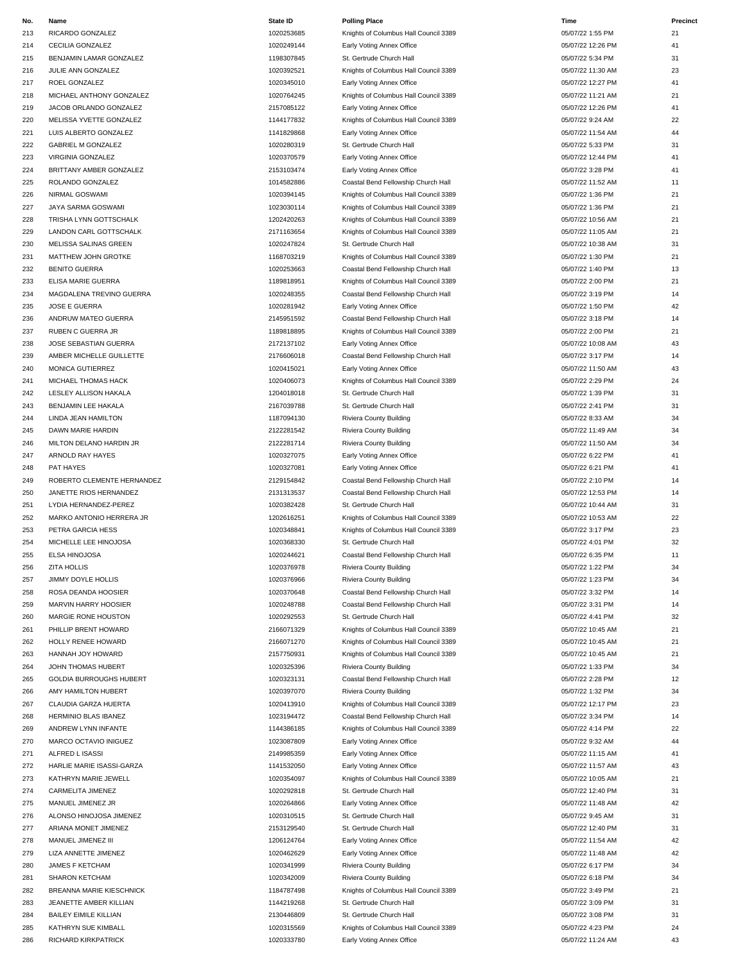| No. | Name                           | <b>State ID</b> | <b>Polling Place</b>                  | Time              | Precinct |
|-----|--------------------------------|-----------------|---------------------------------------|-------------------|----------|
| 213 | RICARDO GONZALEZ               | 1020253685      | Knights of Columbus Hall Council 3389 | 05/07/22 1:55 PM  | 21       |
|     |                                |                 |                                       |                   |          |
| 214 | CECILIA GONZALEZ               | 1020249144      | Early Voting Annex Office             | 05/07/22 12:26 PM | 41       |
| 215 | BENJAMIN LAMAR GONZALEZ        | 1198307845      | St. Gertrude Church Hall              | 05/07/22 5:34 PM  | 31       |
| 216 | JULIE ANN GONZALEZ             | 1020392521      | Knights of Columbus Hall Council 3389 | 05/07/22 11:30 AM | 23       |
| 217 | ROEL GONZALEZ                  | 1020345010      | Early Voting Annex Office             | 05/07/22 12:27 PM | 41       |
| 218 | MICHAEL ANTHONY GONZALEZ       | 1020764245      | Knights of Columbus Hall Council 3389 | 05/07/22 11:21 AM | 21       |
| 219 | JACOB ORLANDO GONZALEZ         | 2157085122      | Early Voting Annex Office             | 05/07/22 12:26 PM | 41       |
| 220 | MELISSA YVETTE GONZALEZ        | 1144177832      | Knights of Columbus Hall Council 3389 | 05/07/22 9:24 AM  | 22       |
|     |                                |                 |                                       |                   |          |
| 221 | LUIS ALBERTO GONZALEZ          | 1141829868      | Early Voting Annex Office             | 05/07/22 11:54 AM | 44       |
| 222 | <b>GABRIEL M GONZALEZ</b>      | 1020280319      | St. Gertrude Church Hall              | 05/07/22 5:33 PM  | 31       |
| 223 | VIRGINIA GONZALEZ              | 1020370579      | Early Voting Annex Office             | 05/07/22 12:44 PM | 41       |
| 224 | BRITTANY AMBER GONZALEZ        | 2153103474      | Early Voting Annex Office             | 05/07/22 3:28 PM  | 41       |
| 225 | ROLANDO GONZALEZ               | 1014582886      | Coastal Bend Fellowship Church Hall   | 05/07/22 11:52 AM | 11       |
| 226 | NIRMAL GOSWAMI                 | 1020394145      | Knights of Columbus Hall Council 3389 | 05/07/22 1:36 PM  | 21       |
| 227 | JAYA SARMA GOSWAMI             | 1023030114      | Knights of Columbus Hall Council 3389 | 05/07/22 1:36 PM  | 21       |
|     |                                |                 |                                       |                   |          |
| 228 | TRISHA LYNN GOTTSCHALK         | 1202420263      | Knights of Columbus Hall Council 3389 | 05/07/22 10:56 AM | 21       |
| 229 | LANDON CARL GOTTSCHALK         | 2171163654      | Knights of Columbus Hall Council 3389 | 05/07/22 11:05 AM | 21       |
| 230 | MELISSA SALINAS GREEN          | 1020247824      | St. Gertrude Church Hall              | 05/07/22 10:38 AM | 31       |
| 231 | MATTHEW JOHN GROTKE            | 1168703219      | Knights of Columbus Hall Council 3389 | 05/07/22 1:30 PM  | 21       |
| 232 | <b>BENITO GUERRA</b>           | 1020253663      | Coastal Bend Fellowship Church Hall   | 05/07/22 1:40 PM  | 13       |
| 233 | ELISA MARIE GUERRA             | 1189818951      | Knights of Columbus Hall Council 3389 | 05/07/22 2:00 PM  | 21       |
| 234 | MAGDALENA TREVINO GUERRA       | 1020248355      | Coastal Bend Fellowship Church Hall   | 05/07/22 3:19 PM  | 14       |
|     |                                |                 |                                       |                   |          |
| 235 | JOSE E GUERRA                  | 1020281942      | Early Voting Annex Office             | 05/07/22 1:50 PM  | 42       |
| 236 | ANDRUW MATEO GUERRA            | 2145951592      | Coastal Bend Fellowship Church Hall   | 05/07/22 3:18 PM  | 14       |
| 237 | <b>RUBEN C GUERRA JR</b>       | 1189818895      | Knights of Columbus Hall Council 3389 | 05/07/22 2:00 PM  | 21       |
| 238 | JOSE SEBASTIAN GUERRA          | 2172137102      | Early Voting Annex Office             | 05/07/22 10:08 AM | 43       |
| 239 | AMBER MICHELLE GUILLETTE       | 2176606018      | Coastal Bend Fellowship Church Hall   | 05/07/22 3:17 PM  | 14       |
| 240 | MONICA GUTIERREZ               | 1020415021      | Early Voting Annex Office             | 05/07/22 11:50 AM | 43       |
| 241 | MICHAEL THOMAS HACK            | 1020406073      | Knights of Columbus Hall Council 3389 | 05/07/22 2:29 PM  | 24       |
| 242 | LESLEY ALLISON HAKALA          | 1204018018      | St. Gertrude Church Hall              | 05/07/22 1:39 PM  | 31       |
|     |                                |                 |                                       |                   |          |
| 243 | BENJAMIN LEE HAKALA            | 2167039788      | St. Gertrude Church Hall              | 05/07/22 2:41 PM  | 31       |
| 244 | LINDA JEAN HAMILTON            | 1187094130      | Riviera County Building               | 05/07/22 8:33 AM  | 34       |
| 245 | DAWN MARIE HARDIN              | 2122281542      | Riviera County Building               | 05/07/22 11:49 AM | 34       |
| 246 | MILTON DELANO HARDIN JR        | 2122281714      | Riviera County Building               | 05/07/22 11:50 AM | 34       |
| 247 | ARNOLD RAY HAYES               | 1020327075      | Early Voting Annex Office             | 05/07/22 6:22 PM  | 41       |
| 248 | PAT HAYES                      | 1020327081      | Early Voting Annex Office             | 05/07/22 6:21 PM  | 41       |
| 249 | ROBERTO CLEMENTE HERNANDEZ     | 2129154842      | Coastal Bend Fellowship Church Hall   | 05/07/22 2:10 PM  | 14       |
| 250 | JANETTE RIOS HERNANDEZ         | 2131313537      | Coastal Bend Fellowship Church Hall   | 05/07/22 12:53 PM | 14       |
|     |                                |                 |                                       |                   |          |
| 251 | LYDIA HERNANDEZ-PEREZ          | 1020382428      | St. Gertrude Church Hall              | 05/07/22 10:44 AM | 31       |
| 252 | MARKO ANTONIO HERRERA JR       | 1202616251      | Knights of Columbus Hall Council 3389 | 05/07/22 10:53 AM | 22       |
| 253 | PETRA GARCIA HESS              | 1020348841      | Knights of Columbus Hall Council 3389 | 05/07/22 3:17 PM  | 23       |
| 254 | MICHELLE LEE HINOJOSA          | 1020368330      | St. Gertrude Church Hall              | 05/07/22 4:01 PM  | 32       |
| 255 | ELSA HINOJOSA                  | 1020244621      | Coastal Bend Fellowship Church Hall   | 05/07/22 6:35 PM  | 11       |
| 256 | <b>ZITA HOLLIS</b>             | 1020376978      | Riviera County Building               | 05/07/22 1:22 PM  | 34       |
| 257 | JIMMY DOYLE HOLLIS             | 1020376966      | Riviera County Building               | 05/07/22 1:23 PM  | 34       |
|     |                                |                 |                                       | 05/07/22 3:32 PM  |          |
| 258 | ROSA DEANDA HOOSIER            | 1020370648      | Coastal Bend Fellowship Church Hall   |                   | 14       |
| 259 | MARVIN HARRY HOOSIER           | 1020248788      | Coastal Bend Fellowship Church Hall   | 05/07/22 3:31 PM  | 14       |
| 260 | MARGIE RONE HOUSTON            | 1020292553      | St. Gertrude Church Hall              | 05/07/22 4:41 PM  | 32       |
| 261 | PHILLIP BRENT HOWARD           | 2166071329      | Knights of Columbus Hall Council 3389 | 05/07/22 10:45 AM | 21       |
| 262 | HOLLY RENEE HOWARD             | 2166071270      | Knights of Columbus Hall Council 3389 | 05/07/22 10:45 AM | 21       |
| 263 | HANNAH JOY HOWARD              | 2157750931      | Knights of Columbus Hall Council 3389 | 05/07/22 10:45 AM | 21       |
| 264 | JOHN THOMAS HUBERT             | 1020325396      | Riviera County Building               | 05/07/22 1:33 PM  | 34       |
| 265 | <b>GOLDIA BURROUGHS HUBERT</b> | 1020323131      | Coastal Bend Fellowship Church Hall   | 05/07/22 2:28 PM  | 12       |
|     |                                | 1020397070      |                                       |                   |          |
| 266 | AMY HAMILTON HUBERT            |                 | Riviera County Building               | 05/07/22 1:32 PM  | 34       |
| 267 | CLAUDIA GARZA HUERTA           | 1020413910      | Knights of Columbus Hall Council 3389 | 05/07/22 12:17 PM | 23       |
| 268 | HERMINIO BLAS IBANEZ           | 1023194472      | Coastal Bend Fellowship Church Hall   | 05/07/22 3:34 PM  | 14       |
| 269 | ANDREW LYNN INFANTE            | 1144386185      | Knights of Columbus Hall Council 3389 | 05/07/22 4:14 PM  | 22       |
| 270 | MARCO OCTAVIO INIGUEZ          | 1023087809      | Early Voting Annex Office             | 05/07/22 9:32 AM  | 44       |
| 271 | ALFRED L ISASSI                | 2149985359      | Early Voting Annex Office             | 05/07/22 11:15 AM | 41       |
| 272 | HARLIE MARIE ISASSI-GARZA      | 1141532050      | Early Voting Annex Office             | 05/07/22 11:57 AM | 43       |
|     |                                |                 |                                       |                   |          |
| 273 | KATHRYN MARIE JEWELL           | 1020354097      | Knights of Columbus Hall Council 3389 | 05/07/22 10:05 AM | 21       |
| 274 | CARMELITA JIMENEZ              | 1020292818      | St. Gertrude Church Hall              | 05/07/22 12:40 PM | 31       |
| 275 | MANUEL JIMENEZ JR              | 1020264866      | Early Voting Annex Office             | 05/07/22 11:48 AM | 42       |
| 276 | ALONSO HINOJOSA JIMENEZ        | 1020310515      | St. Gertrude Church Hall              | 05/07/22 9:45 AM  | 31       |
| 277 | ARIANA MONET JIMENEZ           | 2153129540      | St. Gertrude Church Hall              | 05/07/22 12:40 PM | 31       |
| 278 | MANUEL JIMENEZ III             | 1206124764      | Early Voting Annex Office             | 05/07/22 11:54 AM | 42       |
| 279 | LIZA ANNETTE JIMENEZ           | 1020462629      | Early Voting Annex Office             | 05/07/22 11:48 AM | 42       |
| 280 | JAMES F KETCHAM                | 1020341999      | Riviera County Building               | 05/07/22 6:17 PM  | 34       |
|     |                                |                 |                                       |                   |          |
| 281 | SHARON KETCHAM                 | 1020342009      | Riviera County Building               | 05/07/22 6:18 PM  | 34       |
| 282 | BREANNA MARIE KIESCHNICK       | 1184787498      | Knights of Columbus Hall Council 3389 | 05/07/22 3:49 PM  | 21       |
| 283 | JEANETTE AMBER KILLIAN         | 1144219268      | St. Gertrude Church Hall              | 05/07/22 3:09 PM  | 31       |
| 284 | <b>BAILEY EIMILE KILLIAN</b>   | 2130446809      | St. Gertrude Church Hall              | 05/07/22 3:08 PM  | 31       |
| 285 | KATHRYN SUE KIMBALL            | 1020315569      | Knights of Columbus Hall Council 3389 | 05/07/22 4:23 PM  | 24       |
| 286 | RICHARD KIRKPATRICK            | 1020333780      | Early Voting Annex Office             | 05/07/22 11:24 AM | 43       |
|     |                                |                 |                                       |                   |          |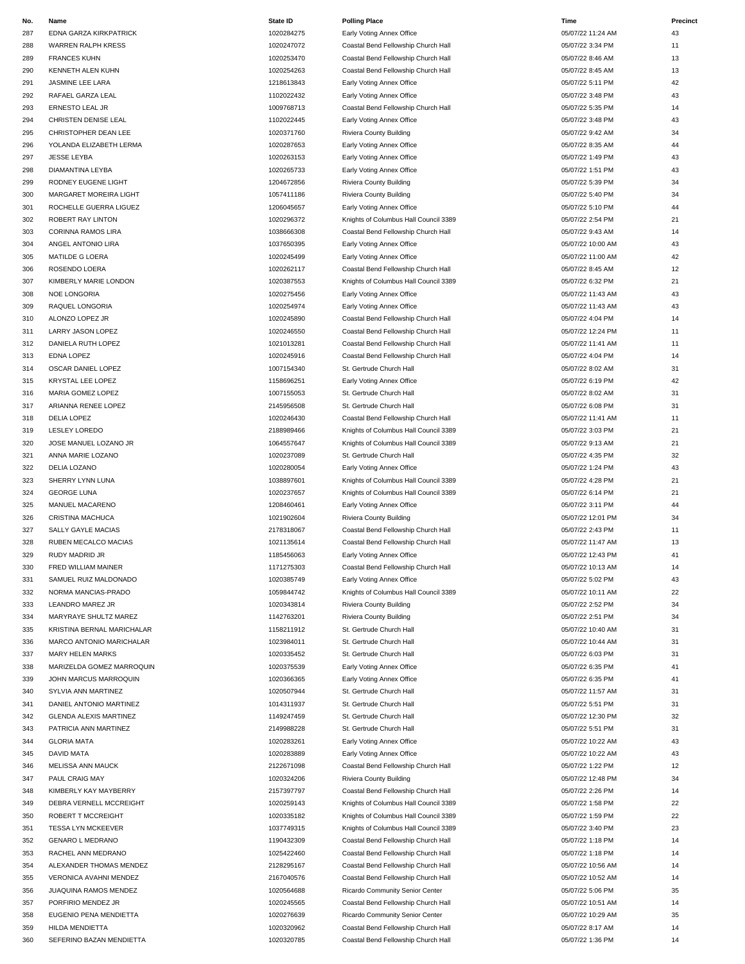| No. | Name                          | <b>State ID</b> | <b>Polling Place</b>                  | Time              | Precinct |
|-----|-------------------------------|-----------------|---------------------------------------|-------------------|----------|
| 287 | EDNA GARZA KIRKPATRICK        | 1020284275      | Early Voting Annex Office             | 05/07/22 11:24 AM | 43       |
| 288 | WARREN RALPH KRESS            | 1020247072      | Coastal Bend Fellowship Church Hall   | 05/07/22 3:34 PM  | 11       |
| 289 | <b>FRANCES KUHN</b>           | 1020253470      | Coastal Bend Fellowship Church Hall   | 05/07/22 8:46 AM  | 13       |
| 290 | KENNETH ALEN KUHN             | 1020254263      | Coastal Bend Fellowship Church Hall   | 05/07/22 8:45 AM  | 13       |
|     |                               |                 |                                       |                   |          |
| 291 | JASMINE LEE LARA              | 1218613843      | Early Voting Annex Office             | 05/07/22 5:11 PM  | 42       |
| 292 | RAFAEL GARZA LEAL             | 1102022432      | Early Voting Annex Office             | 05/07/22 3:48 PM  | 43       |
| 293 | ERNESTO LEAL JR               | 1009768713      | Coastal Bend Fellowship Church Hall   | 05/07/22 5:35 PM  | 14       |
| 294 | CHRISTEN DENISE LEAL          | 1102022445      | Early Voting Annex Office             | 05/07/22 3:48 PM  | 43       |
| 295 | CHRISTOPHER DEAN LEE          | 1020371760      | Riviera County Building               | 05/07/22 9:42 AM  | 34       |
| 296 | YOLANDA ELIZABETH LERMA       | 1020287653      | Early Voting Annex Office             | 05/07/22 8:35 AM  | 44       |
|     |                               |                 |                                       |                   |          |
| 297 | <b>JESSE LEYBA</b>            | 1020263153      | Early Voting Annex Office             | 05/07/22 1:49 PM  | 43       |
| 298 | DIAMANTINA LEYBA              | 1020265733      | Early Voting Annex Office             | 05/07/22 1:51 PM  | 43       |
| 299 | RODNEY EUGENE LIGHT           | 1204672856      | Riviera County Building               | 05/07/22 5:39 PM  | 34       |
| 300 | MARGARET MOREIRA LIGHT        | 1057411186      | Riviera County Building               | 05/07/22 5:40 PM  | 34       |
| 301 | ROCHELLE GUERRA LIGUEZ        | 1206045657      | Early Voting Annex Office             | 05/07/22 5:10 PM  | 44       |
| 302 | ROBERT RAY LINTON             | 1020296372      | Knights of Columbus Hall Council 3389 | 05/07/22 2:54 PM  | 21       |
|     |                               |                 |                                       |                   |          |
| 303 | CORINNA RAMOS LIRA            | 1038666308      | Coastal Bend Fellowship Church Hall   | 05/07/22 9:43 AM  | 14       |
| 304 | ANGEL ANTONIO LIRA            | 1037650395      | Early Voting Annex Office             | 05/07/22 10:00 AM | 43       |
| 305 | MATILDE G LOERA               | 1020245499      | Early Voting Annex Office             | 05/07/22 11:00 AM | 42       |
| 306 | ROSENDO LOERA                 | 1020262117      | Coastal Bend Fellowship Church Hall   | 05/07/22 8:45 AM  | 12       |
| 307 | KIMBERLY MARIE LONDON         | 1020387553      | Knights of Columbus Hall Council 3389 | 05/07/22 6:32 PM  | 21       |
|     |                               |                 |                                       |                   |          |
| 308 | NOE LONGORIA                  | 1020275456      | Early Voting Annex Office             | 05/07/22 11:43 AM | 43       |
| 309 | RAQUEL LONGORIA               | 1020254974      | Early Voting Annex Office             | 05/07/22 11:43 AM | 43       |
| 310 | ALONZO LOPEZ JR               | 1020245890      | Coastal Bend Fellowship Church Hall   | 05/07/22 4:04 PM  | 14       |
| 311 | LARRY JASON LOPEZ             | 1020246550      | Coastal Bend Fellowship Church Hall   | 05/07/22 12:24 PM | 11       |
| 312 | DANIELA RUTH LOPEZ            | 1021013281      | Coastal Bend Fellowship Church Hall   | 05/07/22 11:41 AM | 11       |
| 313 | EDNA LOPEZ                    | 1020245916      | Coastal Bend Fellowship Church Hall   | 05/07/22 4:04 PM  | 14       |
|     |                               |                 |                                       |                   |          |
| 314 | OSCAR DANIEL LOPEZ            | 1007154340      | St. Gertrude Church Hall              | 05/07/22 8:02 AM  | 31       |
| 315 | KRYSTAL LEE LOPEZ             | 1158696251      | Early Voting Annex Office             | 05/07/22 6:19 PM  | 42       |
| 316 | MARIA GOMEZ LOPEZ             | 1007155053      | St. Gertrude Church Hall              | 05/07/22 8:02 AM  | 31       |
| 317 | ARIANNA RENEE LOPEZ           | 2145956508      | St. Gertrude Church Hall              | 05/07/22 6:08 PM  | 31       |
| 318 | DELIA LOPEZ                   | 1020246430      | Coastal Bend Fellowship Church Hall   | 05/07/22 11:41 AM | 11       |
| 319 | <b>LESLEY LOREDO</b>          | 2188989466      |                                       | 05/07/22 3:03 PM  | 21       |
|     |                               |                 | Knights of Columbus Hall Council 3389 |                   |          |
| 320 | JOSE MANUEL LOZANO JR         | 1064557647      | Knights of Columbus Hall Council 3389 | 05/07/22 9:13 AM  | 21       |
| 321 | ANNA MARIE LOZANO             | 1020237089      | St. Gertrude Church Hall              | 05/07/22 4:35 PM  | 32       |
| 322 | DELIA LOZANO                  | 1020280054      | Early Voting Annex Office             | 05/07/22 1:24 PM  | 43       |
| 323 | SHERRY LYNN LUNA              | 1038897601      | Knights of Columbus Hall Council 3389 | 05/07/22 4:28 PM  | 21       |
| 324 | <b>GEORGE LUNA</b>            | 1020237657      | Knights of Columbus Hall Council 3389 | 05/07/22 6:14 PM  | 21       |
|     |                               |                 |                                       |                   | 44       |
| 325 | MANUEL MACARENO               | 1208460461      | Early Voting Annex Office             | 05/07/22 3:11 PM  |          |
| 326 | <b>CRISTINA MACHUCA</b>       | 1021902604      | Riviera County Building               | 05/07/22 12:01 PM | 34       |
| 327 | SALLY GAYLE MACIAS            | 2178318067      | Coastal Bend Fellowship Church Hall   | 05/07/22 2:43 PM  | 11       |
| 328 | RUBEN MECALCO MACIAS          | 1021135614      | Coastal Bend Fellowship Church Hall   | 05/07/22 11:47 AM | 13       |
| 329 | RUDY MADRID JR                | 1185456063      | Early Voting Annex Office             | 05/07/22 12:43 PM | 41       |
| 330 | FRED WILLIAM MAINER           | 1171275303      | Coastal Bend Fellowship Church Hall   | 05/07/22 10:13 AM | 14       |
|     |                               |                 |                                       |                   |          |
| 331 | SAMUEL RUIZ MALDONADO         | 1020385749      | Early Voting Annex Office             | 05/07/22 5:02 PM  | 43       |
| 332 | NORMA MANCIAS-PRADO           | 1059844742      | Knights of Columbus Hall Council 3389 | 05/07/22 10:11 AM | 22       |
| 333 | LEANDRO MAREZ JR              | 1020343814      | Riviera County Building               | 05/07/22 2:52 PM  | 34       |
| 334 | MARYRAYE SHULTZ MAREZ         | 1142763201      | Riviera County Building               | 05/07/22 2:51 PM  | 34       |
| 335 | KRISTINA BERNAL MARICHALAR    | 1158211912      | St. Gertrude Church Hall              | 05/07/22 10:40 AM | 31       |
| 336 | MARCO ANTONIO MARICHALAR      | 1023984011      | St. Gertrude Church Hall              | 05/07/22 10:44 AM | 31       |
|     |                               |                 |                                       |                   |          |
| 337 | <b>MARY HELEN MARKS</b>       | 1020335452      | St. Gertrude Church Hall              | 05/07/22 6:03 PM  | 31       |
| 338 | MARIZELDA GOMEZ MARROQUIN     | 1020375539      | Early Voting Annex Office             | 05/07/22 6:35 PM  | 41       |
| 339 | JOHN MARCUS MARROQUIN         | 1020366365      | Early Voting Annex Office             | 05/07/22 6:35 PM  | 41       |
| 340 | SYLVIA ANN MARTINEZ           | 1020507944      | St. Gertrude Church Hall              | 05/07/22 11:57 AM | 31       |
| 341 | DANIEL ANTONIO MARTINEZ       | 1014311937      | St. Gertrude Church Hall              | 05/07/22 5:51 PM  | 31       |
| 342 | <b>GLENDA ALEXIS MARTINEZ</b> | 1149247459      | St. Gertrude Church Hall              | 05/07/22 12:30 PM | 32       |
|     |                               |                 |                                       |                   |          |
| 343 | PATRICIA ANN MARTINEZ         | 2149988228      | St. Gertrude Church Hall              | 05/07/22 5:51 PM  | 31       |
| 344 | <b>GLORIA MATA</b>            | 1020283261      | Early Voting Annex Office             | 05/07/22 10:22 AM | 43       |
| 345 | <b>DAVID MATA</b>             | 1020283889      | Early Voting Annex Office             | 05/07/22 10:22 AM | 43       |
| 346 | MELISSA ANN MAUCK             | 2122671098      | Coastal Bend Fellowship Church Hall   | 05/07/22 1:22 PM  | 12       |
| 347 | PAUL CRAIG MAY                | 1020324206      | Riviera County Building               | 05/07/22 12:48 PM | 34       |
| 348 | KIMBERLY KAY MAYBERRY         | 2157397797      | Coastal Bend Fellowship Church Hall   | 05/07/22 2:26 PM  | 14       |
|     |                               |                 |                                       |                   |          |
| 349 | DEBRA VERNELL MCCREIGHT       | 1020259143      | Knights of Columbus Hall Council 3389 | 05/07/22 1:58 PM  | 22       |
| 350 | ROBERT T MCCREIGHT            | 1020335182      | Knights of Columbus Hall Council 3389 | 05/07/22 1:59 PM  | 22       |
| 351 | TESSA LYN MCKEEVER            | 1037749315      | Knights of Columbus Hall Council 3389 | 05/07/22 3:40 PM  | 23       |
| 352 | <b>GENARO L MEDRANO</b>       | 1190432309      | Coastal Bend Fellowship Church Hall   | 05/07/22 1:18 PM  | 14       |
| 353 | RACHEL ANN MEDRANO            | 1025422460      | Coastal Bend Fellowship Church Hall   | 05/07/22 1:18 PM  | 14       |
| 354 | ALEXANDER THOMAS MENDEZ       | 2128295167      | Coastal Bend Fellowship Church Hall   | 05/07/22 10:56 AM | 14       |
|     |                               |                 |                                       |                   |          |
| 355 | VERONICA AVAHNI MENDEZ        | 2167040576      | Coastal Bend Fellowship Church Hall   | 05/07/22 10:52 AM | 14       |
| 356 | JUAQUINA RAMOS MENDEZ         | 1020564688      | Ricardo Community Senior Center       | 05/07/22 5:06 PM  | 35       |
| 357 | PORFIRIO MENDEZ JR            | 1020245565      | Coastal Bend Fellowship Church Hall   | 05/07/22 10:51 AM | 14       |
| 358 | EUGENIO PENA MENDIETTA        | 1020276639      | Ricardo Community Senior Center       | 05/07/22 10:29 AM | 35       |
| 359 | HILDA MENDIETTA               | 1020320962      | Coastal Bend Fellowship Church Hall   | 05/07/22 8:17 AM  | 14       |
| 360 | SEFERINO BAZAN MENDIETTA      | 1020320785      | Coastal Bend Fellowship Church Hall   | 05/07/22 1:36 PM  | 14       |
|     |                               |                 |                                       |                   |          |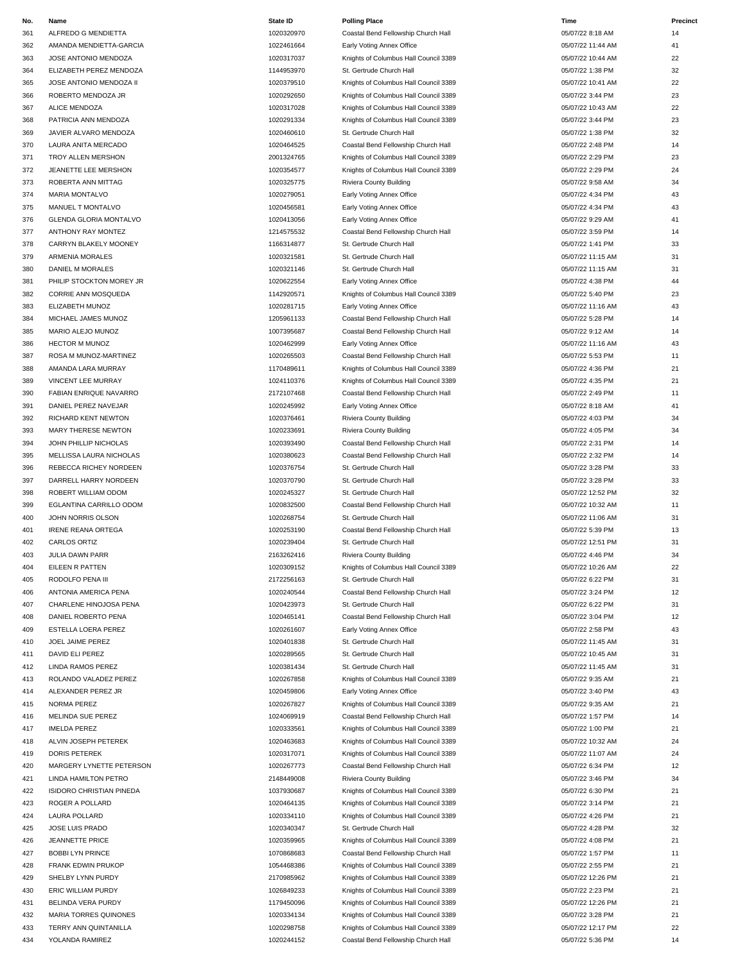| No.        | Name                      | <b>State ID</b> | <b>Polling Place</b>                  | Time              | Precinct |
|------------|---------------------------|-----------------|---------------------------------------|-------------------|----------|
| 361        | ALFREDO G MENDIETTA       | 1020320970      | Coastal Bend Fellowship Church Hall   | 05/07/22 8:18 AM  | 14       |
| 362        | AMANDA MENDIETTA-GARCIA   | 1022461664      | Early Voting Annex Office             | 05/07/22 11:44 AM | 41       |
| 363        | JOSE ANTONIO MENDOZA      | 1020317037      | Knights of Columbus Hall Council 3389 | 05/07/22 10:44 AM | 22       |
| 364        | ELIZABETH PEREZ MENDOZA   | 1144953970      | St. Gertrude Church Hall              | 05/07/22 1:38 PM  | 32       |
| 365        | JOSE ANTONIO MENDOZA II   | 1020379510      | Knights of Columbus Hall Council 3389 | 05/07/22 10:41 AM | 22       |
| 366        | ROBERTO MENDOZA JR        | 1020292650      | Knights of Columbus Hall Council 3389 | 05/07/22 3:44 PM  | 23       |
| 367        | ALICE MENDOZA             | 1020317028      |                                       | 05/07/22 10:43 AM | 22       |
|            |                           |                 | Knights of Columbus Hall Council 3389 |                   |          |
| 368        | PATRICIA ANN MENDOZA      | 1020291334      | Knights of Columbus Hall Council 3389 | 05/07/22 3:44 PM  | 23       |
| 369        | JAVIER ALVARO MENDOZA     | 1020460610      | St. Gertrude Church Hall              | 05/07/22 1:38 PM  | 32       |
| 370        | LAURA ANITA MERCADO       | 1020464525      | Coastal Bend Fellowship Church Hall   | 05/07/22 2:48 PM  | 14       |
| 371        | TROY ALLEN MERSHON        | 2001324765      | Knights of Columbus Hall Council 3389 | 05/07/22 2:29 PM  | 23       |
| 372        | JEANETTE LEE MERSHON      | 1020354577      | Knights of Columbus Hall Council 3389 | 05/07/22 2:29 PM  | 24       |
| 373        | ROBERTA ANN MITTAG        | 1020325775      | Riviera County Building               | 05/07/22 9:58 AM  | 34       |
| 374        | MARIA MONTALVO            | 1020279051      | Early Voting Annex Office             | 05/07/22 4:34 PM  | 43       |
| 375        | MANUEL T MONTALVO         | 1020456581      | Early Voting Annex Office             | 05/07/22 4:34 PM  | 43       |
| 376        | GLENDA GLORIA MONTALVO    | 1020413056      | Early Voting Annex Office             | 05/07/22 9:29 AM  | 41       |
| 377        | ANTHONY RAY MONTEZ        | 1214575532      | Coastal Bend Fellowship Church Hall   | 05/07/22 3:59 PM  | 14       |
| 378        | CARRYN BLAKELY MOONEY     | 1166314877      | St. Gertrude Church Hall              | 05/07/22 1:41 PM  | 33       |
| 379        | ARMENIA MORALES           | 1020321581      | St. Gertrude Church Hall              | 05/07/22 11:15 AM | 31       |
|            |                           |                 |                                       |                   | 31       |
| 380        | DANIEL M MORALES          | 1020321146      | St. Gertrude Church Hall              | 05/07/22 11:15 AM |          |
| 381        | PHILIP STOCKTON MOREY JR  | 1020622554      | Early Voting Annex Office             | 05/07/22 4:38 PM  | 44       |
| 382        | CORRIE ANN MOSQUEDA       | 1142920571      | Knights of Columbus Hall Council 3389 | 05/07/22 5:40 PM  | 23       |
| 383        | ELIZABETH MUNOZ           | 1020281715      | Early Voting Annex Office             | 05/07/22 11:16 AM | 43       |
| 384        | MICHAEL JAMES MUNOZ       | 1205961133      | Coastal Bend Fellowship Church Hall   | 05/07/22 5:28 PM  | 14       |
| 385        | MARIO ALEJO MUNOZ         | 1007395687      | Coastal Bend Fellowship Church Hall   | 05/07/22 9:12 AM  | 14       |
| 386        | <b>HECTOR M MUNOZ</b>     | 1020462999      | Early Voting Annex Office             | 05/07/22 11:16 AM | 43       |
| 387        | ROSA M MUNOZ-MARTINEZ     | 1020265503      | Coastal Bend Fellowship Church Hall   | 05/07/22 5:53 PM  | 11       |
| 388        | AMANDA LARA MURRAY        | 1170489611      | Knights of Columbus Hall Council 3389 | 05/07/22 4:36 PM  | 21       |
| 389        | VINCENT LEE MURRAY        | 1024110376      | Knights of Columbus Hall Council 3389 | 05/07/22 4:35 PM  | 21       |
| 390        | FABIAN ENRIQUE NAVARRO    | 2172107468      | Coastal Bend Fellowship Church Hall   | 05/07/22 2:49 PM  | 11       |
| 391        | DANIEL PEREZ NAVEJAR      | 1020245992      | Early Voting Annex Office             | 05/07/22 8:18 AM  | 41       |
| 392        | RICHARD KENT NEWTON       | 1020376461      |                                       | 05/07/22 4:03 PM  | 34       |
|            |                           |                 | Riviera County Building               |                   |          |
| 393        | MARY THERESE NEWTON       | 1020233691      | Riviera County Building               | 05/07/22 4:05 PM  | 34       |
| 394        | JOHN PHILLIP NICHOLAS     | 1020393490      | Coastal Bend Fellowship Church Hall   | 05/07/22 2:31 PM  | 14       |
| 395        | MELLISSA LAURA NICHOLAS   | 1020380623      | Coastal Bend Fellowship Church Hall   | 05/07/22 2:32 PM  | 14       |
| 396        | REBECCA RICHEY NORDEEN    | 1020376754      | St. Gertrude Church Hall              | 05/07/22 3:28 PM  | 33       |
| 397        | DARRELL HARRY NORDEEN     | 1020370790      | St. Gertrude Church Hall              | 05/07/22 3:28 PM  | 33       |
| 398        | ROBERT WILLIAM ODOM       | 1020245327      | St. Gertrude Church Hall              | 05/07/22 12:52 PM | 32       |
| 399        | EGLANTINA CARRILLO ODOM   | 1020832500      | Coastal Bend Fellowship Church Hall   | 05/07/22 10:32 AM | 11       |
| 400        | JOHN NORRIS OLSON         | 1020268754      | St. Gertrude Church Hall              | 05/07/22 11:06 AM | 31       |
| 401        | <b>IRENE REANA ORTEGA</b> | 1020253190      | Coastal Bend Fellowship Church Hall   | 05/07/22 5:39 PM  | 13       |
| 402        | CARLOS ORTIZ              | 1020239404      | St. Gertrude Church Hall              | 05/07/22 12:51 PM | 31       |
| 403        | <b>JULIA DAWN PARR</b>    | 2163262416      | Riviera County Building               | 05/07/22 4:46 PM  | 34       |
| 404        | EILEEN R PATTEN           | 1020309152      | Knights of Columbus Hall Council 3389 | 05/07/22 10:26 AM | 22       |
| 405        | RODOLFO PENA III          | 2172256163      | St. Gertrude Church Hall              | 05/07/22 6:22 PM  | 31       |
|            |                           |                 |                                       |                   |          |
| 406        | ANTONIA AMERICA PENA      | 1020240544      | Coastal Bend Fellowship Church Hall   | 05/07/22 3:24 PM  | 12       |
| 407        | CHARLENE HINOJOSA PENA    | 1020423973      | St. Gertrude Church Hall              | 05/07/22 6:22 PM  | 31       |
| 408        | DANIEL ROBERTO PENA       | 1020465141      | Coastal Bend Fellowship Church Hall   | 05/07/22 3:04 PM  | 12       |
| 409        | ESTELLA LOERA PEREZ       | 1020261607      | Early Voting Annex Office             | 05/07/22 2:58 PM  | 43       |
| 410        | JOEL JAIME PEREZ          | 1020401838      | St. Gertrude Church Hall              | 05/07/22 11:45 AM | 31       |
| 411        | DAVID ELI PEREZ           | 1020289565      | St. Gertrude Church Hall              | 05/07/22 10:45 AM | 31       |
| 412        | LINDA RAMOS PEREZ         | 1020381434      | St. Gertrude Church Hall              | 05/07/22 11:45 AM | 31       |
| 413        | ROLANDO VALADEZ PEREZ     | 1020267858      | Knights of Columbus Hall Council 3389 | 05/07/22 9:35 AM  | 21       |
| 414        | ALEXANDER PEREZ JR        | 1020459806      | Early Voting Annex Office             | 05/07/22 3:40 PM  | 43       |
| 415        | NORMA PEREZ               | 1020267827      | Knights of Columbus Hall Council 3389 | 05/07/22 9:35 AM  | 21       |
| 416        | MELINDA SUE PEREZ         | 1024069919      | Coastal Bend Fellowship Church Hall   | 05/07/22 1:57 PM  | 14       |
| 417        | <b>IMELDA PEREZ</b>       | 1020333561      | Knights of Columbus Hall Council 3389 | 05/07/22 1:00 PM  | 21       |
|            |                           |                 |                                       |                   |          |
| 418<br>419 | ALVIN JOSEPH PETEREK      | 1020463683      | Knights of Columbus Hall Council 3389 | 05/07/22 10:32 AM | 24<br>24 |
|            | DORIS PETEREK             | 1020317071      | Knights of Columbus Hall Council 3389 | 05/07/22 11:07 AM |          |
| 420        | MARGERY LYNETTE PETERSON  | 1020267773      | Coastal Bend Fellowship Church Hall   | 05/07/22 6:34 PM  | 12       |
| 421        | LINDA HAMILTON PETRO      | 2148449008      | Riviera County Building               | 05/07/22 3:46 PM  | 34       |
| 422        | ISIDORO CHRISTIAN PINEDA  | 1037930687      | Knights of Columbus Hall Council 3389 | 05/07/22 6:30 PM  | 21       |
| 423        | ROGER A POLLARD           | 1020464135      | Knights of Columbus Hall Council 3389 | 05/07/22 3:14 PM  | 21       |
| 424        | LAURA POLLARD             | 1020334110      | Knights of Columbus Hall Council 3389 | 05/07/22 4:26 PM  | 21       |
| 425        | JOSE LUIS PRADO           | 1020340347      | St. Gertrude Church Hall              | 05/07/22 4:28 PM  | 32       |
| 426        | <b>JEANNETTE PRICE</b>    | 1020359965      | Knights of Columbus Hall Council 3389 | 05/07/22 4:08 PM  | 21       |
| 427        | <b>BOBBI LYN PRINCE</b>   | 1070868683      | Coastal Bend Fellowship Church Hall   | 05/07/22 1:57 PM  | 11       |
| 428        | FRANK EDWIN PRUKOP        | 1054468386      | Knights of Columbus Hall Council 3389 | 05/07/22 2:55 PM  | 21       |
| 429        | SHELBY LYNN PURDY         | 2170985962      | Knights of Columbus Hall Council 3389 | 05/07/22 12:26 PM | 21       |
| 430        | ERIC WILLIAM PURDY        | 1026849233      | Knights of Columbus Hall Council 3389 | 05/07/22 2:23 PM  | 21       |
|            |                           |                 |                                       |                   | 21       |
| 431        | BELINDA VERA PURDY        | 1179450096      | Knights of Columbus Hall Council 3389 | 05/07/22 12:26 PM |          |
| 432        | MARIA TORRES QUINONES     | 1020334134      | Knights of Columbus Hall Council 3389 | 05/07/22 3:28 PM  | 21       |
| 433        | TERRY ANN QUINTANILLA     | 1020298758      | Knights of Columbus Hall Council 3389 | 05/07/22 12:17 PM | 22       |
| 434        | YOLANDA RAMIREZ           | 1020244152      | Coastal Bend Fellowship Church Hall   | 05/07/22 5:36 PM  | 14       |

| <b>Polling Place</b>                                 |
|------------------------------------------------------|
| Coastal Bend Fellowship Church Hall                  |
| Early Voting Annex Office                            |
| Knights of Columbus Hall Council 3389                |
| St. Gertrude Church Hall                             |
| Knights of Columbus Hall Council 3389                |
| Knights of Columbus Hall Council 3389                |
| Knights of Columbus Hall Council 3389                |
| Knights of Columbus Hall Council 3389                |
| St. Gertrude Church Hall                             |
| Coastal Bend Fellowship Church Hall                  |
| Knights of Columbus Hall Council 3389                |
| Knights of Columbus Hall Council 3389                |
| Riviera County Building                              |
| Early Voting Annex Office                            |
| Early Voting Annex Office                            |
| Early Voting Annex Office                            |
| Coastal Bend Fellowship Church Hall                  |
|                                                      |
| St. Gertrude Church Hall<br>St. Gertrude Church Hall |
|                                                      |
| St. Gertrude Church Hall                             |
| Early Voting Annex Office                            |
| Knights of Columbus Hall Council 3389                |
| Early Voting Annex Office                            |
| Coastal Bend Fellowship Church Hall                  |
| Coastal Bend Fellowship Church Hall                  |
| Early Voting Annex Office                            |
| Coastal Bend Fellowship Church Hall                  |
| Knights of Columbus Hall Council 3389                |
| Knights of Columbus Hall Council 3389                |
| Coastal Bend Fellowship Church Hall                  |
| Early Voting Annex Office                            |
| Riviera County Building                              |
| Riviera County Building                              |
| Coastal Bend Fellowship Church Hall                  |
| Coastal Bend Fellowship Church Hall                  |
| St. Gertrude Church Hall                             |
| St. Gertrude Church Hall                             |
| St. Gertrude Church Hall                             |
| Coastal Bend Fellowship Church Hall                  |
| St. Gertrude Church Hall                             |
|                                                      |
| Coastal Bend Fellowship Church Hall                  |
| St. Gertrude Church Hall                             |
| Riviera County Building                              |
| Knights of Columbus Hall Council 3389                |
| St. Gertrude Church Hall                             |
| Coastal Bend Fellowship Church Hall                  |
| St. Gertrude Church Hall                             |
| Coastal Bend Fellowship Church Hall                  |
| Early Voting Annex Office                            |
| St. Gertrude Church Hall                             |
| St. Gertrude Church Hall                             |
| St. Gertrude Church Hall                             |
| Knights of Columbus Hall Council 3389                |
| Early Voting Annex Office                            |
| Knights of Columbus Hall Council 3389                |
| Coastal Bend Fellowship Church Hall                  |
| Knights of Columbus Hall Council 3389                |
| Knights of Columbus Hall Council 3389                |
| Knights of Columbus Hall Council 3389                |
| Coastal Bend Fellowship Church Hall                  |
| Riviera County Building                              |
| Knights of Columbus Hall Council 3389                |
| Knights of Columbus Hall Council 3389                |
| Knights of Columbus Hall Council 3389                |
| St. Gertrude Church Hall                             |
| Knights of Columbus Hall Council 3389                |
| Coastal Bend Fellowship Church Hall                  |
| Knights of Columbus Hall Council 3389                |
| Knights of Columbus Hall Council 3389                |
|                                                      |
| Knights of Columbus Hall Council 3389                |
| Knights of Columbus Hall Council 3389                |
| Knights of Columbus Hall Council 3389                |
| Knights of Columbus Hall Council 3389                |
| Coastal Bend Fellowship Church Hall                  |

| Time              | Prec |
|-------------------|------|
| 05/07/22 8:18 AM  | 14   |
| 05/07/22 11:44 AM | 41   |
| 05/07/22 10:44 AM | 22   |
| 05/07/22 1:38 PM  | 32   |
| 05/07/22 10:41 AM | 22   |
| 05/07/22 3:44 PM  | 23   |
| 05/07/22 10:43 AM | 22   |
| 05/07/22 3:44 PM  | 23   |
|                   |      |
| 05/07/22 1:38 PM  | 32   |
| 05/07/22 2:48 PM  | 14   |
| 05/07/22 2:29 PM  | 23   |
| 05/07/22 2:29 PM  | 24   |
| 05/07/22 9:58 AM  | 34   |
| 05/07/22 4:34 PM  | 43   |
| 05/07/22 4:34 PM  | 43   |
| 05/07/22 9:29 AM  | 41   |
| 05/07/22 3:59 PM  | 14   |
| 05/07/22 1:41 PM  | 33   |
| 05/07/22 11:15 AM | 31   |
| 05/07/22 11:15 AM | 31   |
| 05/07/22 4:38 PM  | 44   |
| 05/07/22 5:40 PM  | 23   |
| 05/07/22 11:16 AM | 43   |
| 05/07/22 5:28 PM  | 14   |
| 05/07/22 9:12 AM  | 14   |
| 05/07/22 11:16 AM | 43   |
| 05/07/22 5:53 PM  |      |
|                   | 11   |
| 05/07/22 4:36 PM  | 21   |
| 05/07/22 4:35 PM  | 21   |
| 05/07/22 2:49 PM  | 11   |
| 05/07/22 8:18 AM  | 41   |
| 05/07/22 4:03 PM  | 34   |
| 05/07/22 4:05 PM  | 34   |
| 05/07/22 2:31 PM  | 14   |
| 05/07/22 2:32 PM  | 14   |
| 05/07/22 3:28 PM  | 33   |
| 05/07/22 3:28 PM  | 33   |
| 05/07/22 12:52 PM | 32   |
| 05/07/22 10:32 AM | 11   |
| 05/07/22 11:06 AM | 31   |
| 05/07/22 5:39 PM  | 13   |
| 05/07/22 12:51 PM | 31   |
| 05/07/22 4:46 PM  | 34   |
| 05/07/22 10:26 AM | 22   |
| 05/07/22 6:22 PM  | 31   |
| 05/07/22 3:24 PM  | 12   |
| 05/07/22 6:22 PM  | 31   |
| 05/07/22 3:04 PM  | 12   |
| 05/07/22 2:58 PM  | 43   |
| 05/07/22 11:45 AM | 31   |
| 05/07/22 10:45 AM | 31   |
| 05/07/22 11:45 AM | 31   |
| 05/07/22 9:35 AM  | 21   |
| 05/07/22 3:40 PM  | 43   |
| 05/07/22 9:35 AM  | 21   |
| 05/07/22 1:57 PM  | 14   |
|                   |      |
| 05/07/22 1:00 PM  | 21   |
| 05/07/22 10:32 AM | 24   |
| 05/07/22 11:07 AM | 24   |
| 05/07/22 6:34 PM  | 12   |
| 05/07/22 3:46 PM  | 34   |
| 05/07/22 6:30 PM  | 21   |
| 05/07/22 3:14 PM  | 21   |
| 05/07/22 4:26 PM  | 21   |
| 05/07/22 4:28 PM  | 32   |
| 05/07/22 4:08 PM  | 21   |
| 05/07/22 1:57 PM  | 11   |
| 05/07/22 2:55 PM  | 21   |
| 05/07/22 12:26 PM | 21   |
| 05/07/22 2:23 PM  | 21   |
| 05/07/22 12:26 PM | 21   |
| 05/07/22 3:28 PM  | 21   |
| 05/07/22 12:17 PM | 22   |
| 05/07/22 5:36 PM  | 14   |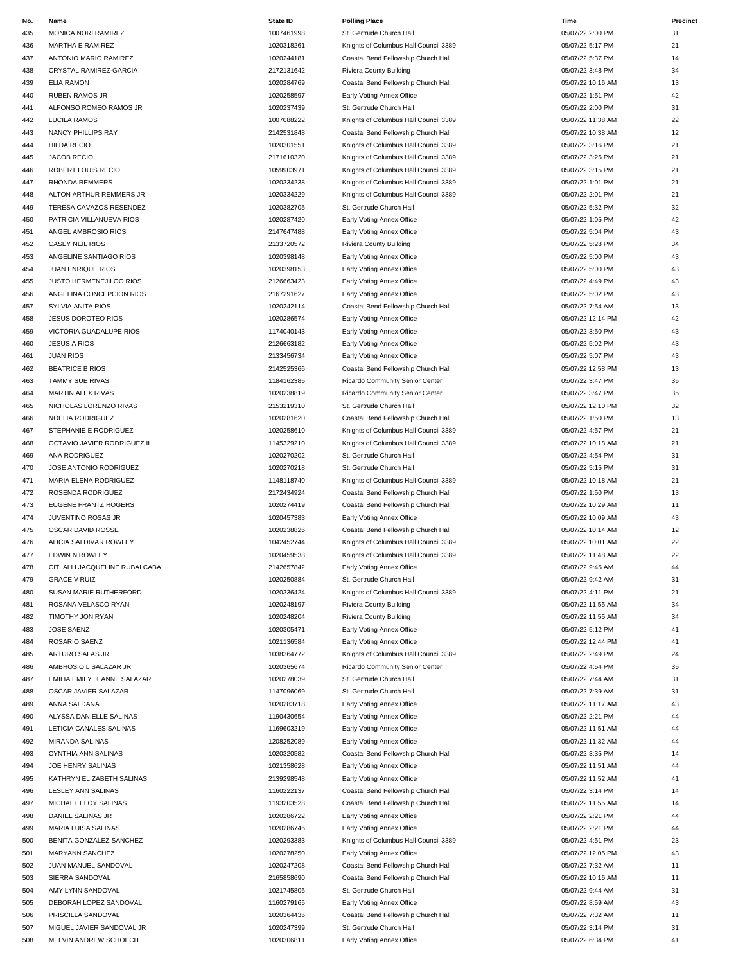| No. | Name                           | <b>State ID</b> | <b>Polling Place</b>                  | Time              | Precinct |
|-----|--------------------------------|-----------------|---------------------------------------|-------------------|----------|
| 435 | MONICA NORI RAMIREZ            | 1007461998      | St. Gertrude Church Hall              | 05/07/22 2:00 PM  | 31       |
| 436 | MARTHA E RAMIREZ               | 1020318261      | Knights of Columbus Hall Council 3389 | 05/07/22 5:17 PM  | 21       |
| 437 | ANTONIO MARIO RAMIREZ          | 1020244181      | Coastal Bend Fellowship Church Hall   | 05/07/22 5:37 PM  | 14       |
| 438 | CRYSTAL RAMIREZ-GARCIA         | 2172131642      | Riviera County Building               | 05/07/22 3:48 PM  | 34       |
| 439 | ELIA RAMON                     | 1020284769      | Coastal Bend Fellowship Church Hall   | 05/07/22 10:16 AM | 13       |
| 440 | <b>RUBEN RAMOS JR</b>          | 1020258597      | Early Voting Annex Office             | 05/07/22 1:51 PM  | 42       |
| 441 | ALFONSO ROMEO RAMOS JR         | 1020237439      | St. Gertrude Church Hall              | 05/07/22 2:00 PM  | 31       |
| 442 | <b>LUCILA RAMOS</b>            | 1007088222      | Knights of Columbus Hall Council 3389 | 05/07/22 11:38 AM | 22       |
| 443 | NANCY PHILLIPS RAY             | 2142531848      | Coastal Bend Fellowship Church Hall   | 05/07/22 10:38 AM | 12       |
|     | <b>HILDA RECIO</b>             | 1020301551      | Knights of Columbus Hall Council 3389 | 05/07/22 3:16 PM  | 21       |
| 444 |                                |                 |                                       |                   | 21       |
| 445 | <b>JACOB RECIO</b>             | 2171610320      | Knights of Columbus Hall Council 3389 | 05/07/22 3:25 PM  |          |
| 446 | ROBERT LOUIS RECIO             | 1059903971      | Knights of Columbus Hall Council 3389 | 05/07/22 3:15 PM  | 21       |
| 447 | <b>RHONDA REMMERS</b>          | 1020334238      | Knights of Columbus Hall Council 3389 | 05/07/22 1:01 PM  | 21       |
| 448 | ALTON ARTHUR REMMERS JR        | 1020334229      | Knights of Columbus Hall Council 3389 | 05/07/22 2:01 PM  | 21       |
| 449 | TERESA CAVAZOS RESENDEZ        | 1020382705      | St. Gertrude Church Hall              | 05/07/22 5:32 PM  | 32       |
| 450 | PATRICIA VILLANUEVA RIOS       | 1020287420      | Early Voting Annex Office             | 05/07/22 1:05 PM  | 42       |
| 451 | ANGEL AMBROSIO RIOS            | 2147647488      | Early Voting Annex Office             | 05/07/22 5:04 PM  | 43       |
| 452 | <b>CASEY NEIL RIOS</b>         | 2133720572      | Riviera County Building               | 05/07/22 5:28 PM  | 34       |
| 453 | ANGELINE SANTIAGO RIOS         | 1020398148      | Early Voting Annex Office             | 05/07/22 5:00 PM  | 43       |
| 454 | JUAN ENRIQUE RIOS              | 1020398153      | Early Voting Annex Office             | 05/07/22 5:00 PM  | 43       |
| 455 | <b>JUSTO HERMENEJILOO RIOS</b> | 2126663423      | Early Voting Annex Office             | 05/07/22 4:49 PM  | 43       |
| 456 | ANGELINA CONCEPCION RIOS       | 2167291627      | Early Voting Annex Office             | 05/07/22 5:02 PM  | 43       |
| 457 | SYLVIA ANITA RIOS              | 1020242114      | Coastal Bend Fellowship Church Hall   | 05/07/22 7:54 AM  | 13       |
| 458 | <b>JESUS DOROTEO RIOS</b>      | 1020286574      | Early Voting Annex Office             | 05/07/22 12:14 PM | 42       |
| 459 | VICTORIA GUADALUPE RIOS        | 1174040143      | Early Voting Annex Office             | 05/07/22 3:50 PM  | 43       |
|     | <b>JESUS A RIOS</b>            | 2126663182      |                                       | 05/07/22 5:02 PM  | 43       |
| 460 |                                |                 | Early Voting Annex Office             |                   |          |
| 461 | <b>JUAN RIOS</b>               | 2133456734      | Early Voting Annex Office             | 05/07/22 5:07 PM  | 43       |
| 462 | <b>BEATRICE B RIOS</b>         | 2142525366      | Coastal Bend Fellowship Church Hall   | 05/07/22 12:58 PM | 13       |
| 463 | <b>TAMMY SUE RIVAS</b>         | 1184162385      | Ricardo Community Senior Center       | 05/07/22 3:47 PM  | 35       |
| 464 | MARTIN ALEX RIVAS              | 1020238819      | Ricardo Community Senior Center       | 05/07/22 3:47 PM  | 35       |
| 465 | NICHOLAS LORENZO RIVAS         | 2153219310      | St. Gertrude Church Hall              | 05/07/22 12:10 PM | 32       |
| 466 | NOELIA RODRIGUEZ               | 1020281620      | Coastal Bend Fellowship Church Hall   | 05/07/22 1:50 PM  | 13       |
| 467 | STEPHANIE E RODRIGUEZ          | 1020258610      | Knights of Columbus Hall Council 3389 | 05/07/22 4:57 PM  | 21       |
| 468 | OCTAVIO JAVIER RODRIGUEZ II    | 1145329210      | Knights of Columbus Hall Council 3389 | 05/07/22 10:18 AM | 21       |
| 469 | ANA RODRIGUEZ                  | 1020270202      | St. Gertrude Church Hall              | 05/07/22 4:54 PM  | 31       |
| 470 | JOSE ANTONIO RODRIGUEZ         | 1020270218      | St. Gertrude Church Hall              | 05/07/22 5:15 PM  | 31       |
| 471 | MARIA ELENA RODRIGUEZ          | 1148118740      | Knights of Columbus Hall Council 3389 | 05/07/22 10:18 AM | 21       |
| 472 | ROSENDA RODRIGUEZ              | 2172434924      | Coastal Bend Fellowship Church Hall   | 05/07/22 1:50 PM  | 13       |
|     |                                | 1020274419      | Coastal Bend Fellowship Church Hall   | 05/07/22 10:29 AM |          |
| 473 | EUGENE FRANTZ ROGERS           |                 |                                       |                   | 11       |
| 474 | JUVENTINO ROSAS JR             | 1020457383      | Early Voting Annex Office             | 05/07/22 10:09 AM | 43       |
| 475 | OSCAR DAVID ROSSE              | 1020238826      | Coastal Bend Fellowship Church Hall   | 05/07/22 10:14 AM | 12       |
| 476 | ALICIA SALDIVAR ROWLEY         | 1042452744      | Knights of Columbus Hall Council 3389 | 05/07/22 10:01 AM | 22       |
| 477 | <b>EDWIN N ROWLEY</b>          | 1020459538      | Knights of Columbus Hall Council 3389 | 05/07/22 11:48 AM | 22       |
| 478 | CITLALLI JACQUELINE RUBALCABA  | 2142657842      | Early Voting Annex Office             | 05/07/22 9:45 AM  | 44       |
| 479 | <b>GRACE V RUIZ</b>            | 1020250884      | St. Gertrude Church Hall              | 05/07/22 9:42 AM  | 31       |
| 480 | SUSAN MARIE RUTHERFORD         | 1020336424      | Knights of Columbus Hall Council 3389 | 05/07/22 4:11 PM  | 21       |
| 481 | ROSANA VELASCO RYAN            | 1020248197      | Riviera County Building               | 05/07/22 11:55 AM | 34       |
| 482 | TIMOTHY JON RYAN               | 1020248204      | Riviera County Building               | 05/07/22 11:55 AM | 34       |
| 483 | JOSE SAENZ                     | 1020305471      | Early Voting Annex Office             | 05/07/22 5:12 PM  | 41       |
| 484 | ROSARIO SAENZ                  | 1021136584      | Early Voting Annex Office             | 05/07/22 12:44 PM | 41       |
| 485 | ARTURO SALAS JR                | 1038364772      | Knights of Columbus Hall Council 3389 | 05/07/22 2:49 PM  | 24       |
| 486 | AMBROSIO L SALAZAR JR          | 1020365674      | Ricardo Community Senior Center       | 05/07/22 4:54 PM  | 35       |
|     | EMILIA EMILY JEANNE SALAZAR    | 1020278039      |                                       |                   |          |
| 487 |                                |                 | St. Gertrude Church Hall              | 05/07/22 7:44 AM  | 31       |
| 488 | OSCAR JAVIER SALAZAR           | 1147096069      | St. Gertrude Church Hall              | 05/07/22 7:39 AM  | 31       |
| 489 | ANNA SALDANA                   | 1020283718      | Early Voting Annex Office             | 05/07/22 11:17 AM | 43       |
| 490 | ALYSSA DANIELLE SALINAS        | 1190430654      | Early Voting Annex Office             | 05/07/22 2:21 PM  | 44       |
| 491 | LETICIA CANALES SALINAS        | 1169603219      | Early Voting Annex Office             | 05/07/22 11:51 AM | 44       |
| 492 | MIRANDA SALINAS                | 1208252089      | Early Voting Annex Office             | 05/07/22 11:32 AM | 44       |
| 493 | CYNTHIA ANN SALINAS            | 1020320582      | Coastal Bend Fellowship Church Hall   | 05/07/22 3:35 PM  | 14       |
| 494 | JOE HENRY SALINAS              | 1021358628      | Early Voting Annex Office             | 05/07/22 11:51 AM | 44       |
| 495 | KATHRYN ELIZABETH SALINAS      | 2139298548      | Early Voting Annex Office             | 05/07/22 11:52 AM | 41       |
| 496 | LESLEY ANN SALINAS             | 1160222137      | Coastal Bend Fellowship Church Hall   | 05/07/22 3:14 PM  | 14       |
| 497 | MICHAEL ELOY SALINAS           | 1193203528      | Coastal Bend Fellowship Church Hall   | 05/07/22 11:55 AM | 14       |
| 498 | DANIEL SALINAS JR              | 1020286722      | Early Voting Annex Office             | 05/07/22 2:21 PM  | 44       |
|     |                                |                 |                                       |                   |          |
| 499 | MARIA LUISA SALINAS            | 1020286746      | Early Voting Annex Office             | 05/07/22 2:21 PM  | 44       |
| 500 | BENITA GONZALEZ SANCHEZ        | 1020293383      | Knights of Columbus Hall Council 3389 | 05/07/22 4:51 PM  | 23       |
| 501 | MARYANN SANCHEZ                | 1020278250      | Early Voting Annex Office             | 05/07/22 12:05 PM | 43       |
| 502 | JUAN MANUEL SANDOVAL           | 1020247208      | Coastal Bend Fellowship Church Hall   | 05/07/22 7:32 AM  | 11       |
| 503 | SIERRA SANDOVAL                | 2165858690      | Coastal Bend Fellowship Church Hall   | 05/07/22 10:16 AM | 11       |
| 504 | AMY LYNN SANDOVAL              | 1021745806      | St. Gertrude Church Hall              | 05/07/22 9:44 AM  | 31       |
| 505 | DEBORAH LOPEZ SANDOVAL         | 1160279165      | Early Voting Annex Office             | 05/07/22 8:59 AM  | 43       |
| 506 | PRISCILLA SANDOVAL             | 1020364435      | Coastal Bend Fellowship Church Hall   | 05/07/22 7:32 AM  | 11       |
| 507 | MIGUEL JAVIER SANDOVAL JR      | 1020247399      | St. Gertrude Church Hall              | 05/07/22 3:14 PM  | 31       |
| 508 | MELVIN ANDREW SCHOECH          | 1020306811      | Early Voting Annex Office             | 05/07/22 6:34 PM  | 41       |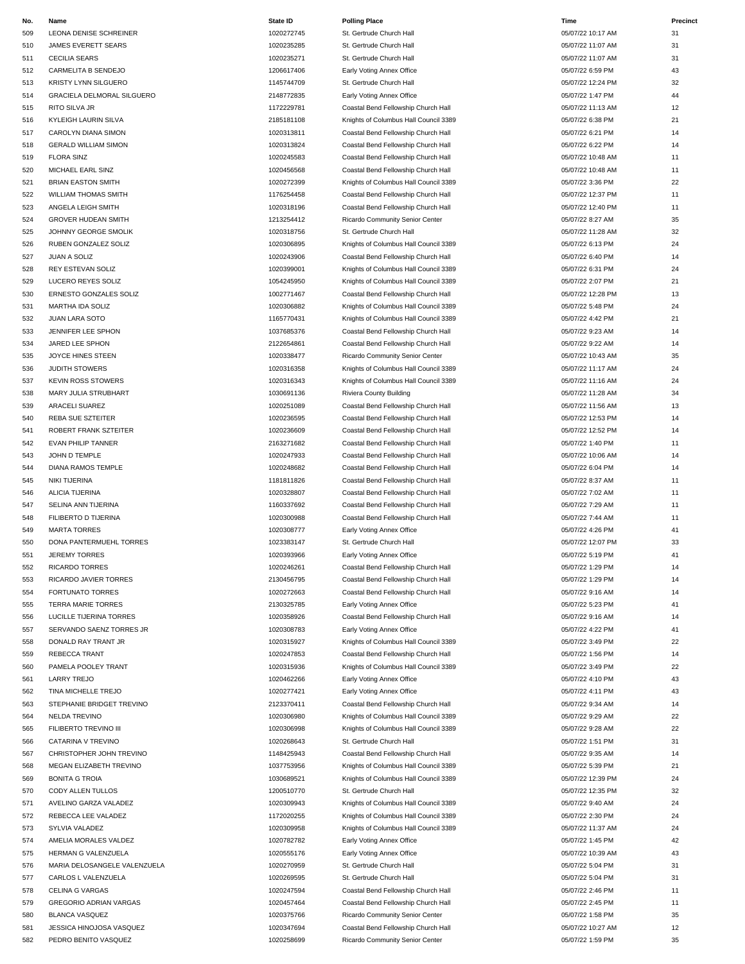| No. | Name                         | <b>State ID</b> | <b>Polling Place</b>                  | Time              | Precinct |
|-----|------------------------------|-----------------|---------------------------------------|-------------------|----------|
| 509 | LEONA DENISE SCHREINER       | 1020272745      | St. Gertrude Church Hall              | 05/07/22 10:17 AM | 31       |
| 510 | JAMES EVERETT SEARS          | 1020235285      | St. Gertrude Church Hall              | 05/07/22 11:07 AM | 31       |
| 511 | <b>CECILIA SEARS</b>         | 1020235271      | St. Gertrude Church Hall              | 05/07/22 11:07 AM | 31       |
| 512 | CARMELITA B SENDEJO          | 1206617406      | Early Voting Annex Office             | 05/07/22 6:59 PM  | 43       |
| 513 | <b>KRISTY LYNN SILGUERO</b>  | 1145744709      | St. Gertrude Church Hall              | 05/07/22 12:24 PM | 32       |
| 514 | GRACIELA DELMORAL SILGUERO   | 2148772835      | Early Voting Annex Office             | 05/07/22 1:47 PM  | 44       |
| 515 | RITO SILVA JR                | 1172229781      | Coastal Bend Fellowship Church Hall   | 05/07/22 11:13 AM | 12       |
|     |                              |                 |                                       |                   |          |
| 516 | KYLEIGH LAURIN SILVA         | 2185181108      | Knights of Columbus Hall Council 3389 | 05/07/22 6:38 PM  | 21       |
| 517 | CAROLYN DIANA SIMON          | 1020313811      | Coastal Bend Fellowship Church Hall   | 05/07/22 6:21 PM  | 14       |
| 518 | <b>GERALD WILLIAM SIMON</b>  | 1020313824      | Coastal Bend Fellowship Church Hall   | 05/07/22 6:22 PM  | 14       |
| 519 | <b>FLORA SINZ</b>            | 1020245583      | Coastal Bend Fellowship Church Hall   | 05/07/22 10:48 AM | 11       |
| 520 | MICHAEL EARL SINZ            | 1020456568      | Coastal Bend Fellowship Church Hall   | 05/07/22 10:48 AM | 11       |
| 521 | <b>BRIAN EASTON SMITH</b>    | 1020272399      | Knights of Columbus Hall Council 3389 | 05/07/22 3:36 PM  | 22       |
| 522 | WILLIAM THOMAS SMITH         | 1176254458      | Coastal Bend Fellowship Church Hall   | 05/07/22 12:37 PM | 11       |
| 523 | ANGELA LEIGH SMITH           | 1020318196      | Coastal Bend Fellowship Church Hall   | 05/07/22 12:40 PM | 11       |
| 524 | GROVER HUDEAN SMITH          | 1213254412      | Ricardo Community Senior Center       | 05/07/22 8:27 AM  | 35       |
| 525 | JOHNNY GEORGE SMOLIK         | 1020318756      | St. Gertrude Church Hall              | 05/07/22 11:28 AM | 32       |
| 526 | RUBEN GONZALEZ SOLIZ         | 1020306895      | Knights of Columbus Hall Council 3389 | 05/07/22 6:13 PM  | 24       |
| 527 | JUAN A SOLIZ                 | 1020243906      | Coastal Bend Fellowship Church Hall   | 05/07/22 6:40 PM  | 14       |
| 528 | <b>REY ESTEVAN SOLIZ</b>     | 1020399001      | Knights of Columbus Hall Council 3389 | 05/07/22 6:31 PM  | 24       |
| 529 | LUCERO REYES SOLIZ           | 1054245950      | Knights of Columbus Hall Council 3389 | 05/07/22 2:07 PM  | 21       |
| 530 | ERNESTO GONZALES SOLIZ       | 1002771467      | Coastal Bend Fellowship Church Hall   | 05/07/22 12:28 PM | 13       |
| 531 | MARTHA IDA SOLIZ             | 1020306882      | Knights of Columbus Hall Council 3389 | 05/07/22 5:48 PM  | 24       |
| 532 | <b>JUAN LARA SOTO</b>        | 1165770431      | Knights of Columbus Hall Council 3389 | 05/07/22 4:42 PM  | 21       |
| 533 | JENNIFER LEE SPHON           | 1037685376      | Coastal Bend Fellowship Church Hall   | 05/07/22 9:23 AM  | 14       |
| 534 | JARED LEE SPHON              | 2122654861      | Coastal Bend Fellowship Church Hall   | 05/07/22 9:22 AM  | 14       |
|     |                              | 1020338477      |                                       |                   | 35       |
| 535 | JOYCE HINES STEEN            |                 | Ricardo Community Senior Center       | 05/07/22 10:43 AM |          |
| 536 | JUDITH STOWERS               | 1020316358      | Knights of Columbus Hall Council 3389 | 05/07/22 11:17 AM | 24       |
| 537 | <b>KEVIN ROSS STOWERS</b>    | 1020316343      | Knights of Columbus Hall Council 3389 | 05/07/22 11:16 AM | 24       |
| 538 | MARY JULIA STRUBHART         | 1030691136      | Riviera County Building               | 05/07/22 11:28 AM | 34       |
| 539 | <b>ARACELI SUAREZ</b>        | 1020251089      | Coastal Bend Fellowship Church Hall   | 05/07/22 11:56 AM | 13       |
| 540 | REBA SUE SZTEITER            | 1020236595      | Coastal Bend Fellowship Church Hall   | 05/07/22 12:53 PM | 14       |
| 541 | ROBERT FRANK SZTEITER        | 1020236609      | Coastal Bend Fellowship Church Hall   | 05/07/22 12:52 PM | 14       |
| 542 | EVAN PHILIP TANNER           | 2163271682      | Coastal Bend Fellowship Church Hall   | 05/07/22 1:40 PM  | 11       |
| 543 | JOHN D TEMPLE                | 1020247933      | Coastal Bend Fellowship Church Hall   | 05/07/22 10:06 AM | 14       |
| 544 | DIANA RAMOS TEMPLE           | 1020248682      | Coastal Bend Fellowship Church Hall   | 05/07/22 6:04 PM  | 14       |
| 545 | NIKI TIJERINA                | 1181811826      | Coastal Bend Fellowship Church Hall   | 05/07/22 8:37 AM  | 11       |
| 546 | <b>ALICIA TIJERINA</b>       | 1020328807      | Coastal Bend Fellowship Church Hall   | 05/07/22 7:02 AM  | 11       |
| 547 | SELINA ANN TIJERINA          | 1160337692      | Coastal Bend Fellowship Church Hall   | 05/07/22 7:29 AM  | 11       |
| 548 | FILIBERTO D TIJERINA         | 1020300988      | Coastal Bend Fellowship Church Hall   | 05/07/22 7:44 AM  | 11       |
| 549 | <b>MARTA TORRES</b>          | 1020308777      | Early Voting Annex Office             | 05/07/22 4:26 PM  | 41       |
| 550 | DONA PANTERMUEHL TORRES      | 1023383147      | St. Gertrude Church Hall              | 05/07/22 12:07 PM | 33       |
| 551 | <b>JEREMY TORRES</b>         | 1020393966      | Early Voting Annex Office             | 05/07/22 5:19 PM  | 41       |
| 552 | <b>RICARDO TORRES</b>        | 1020246261      | Coastal Bend Fellowship Church Hall   | 05/07/22 1:29 PM  | 14       |
| 553 | RICARDO JAVIER TORRES        | 2130456795      | Coastal Bend Fellowship Church Hall   | 05/07/22 1:29 PM  | 14       |
| 554 | <b>FORTUNATO TORRES</b>      | 1020272663      | Coastal Bend Fellowship Church Hall   | 05/07/22 9:16 AM  | 14       |
| 555 | TERRA MARIE TORRES           | 2130325785      | Early Voting Annex Office             | 05/07/22 5:23 PM  | 41       |
|     |                              | 1020358926      |                                       |                   | 14       |
| 556 | LUCILLE TIJERINA TORRES      |                 | Coastal Bend Fellowship Church Hall   | 05/07/22 9:16 AM  |          |
| 557 | SERVANDO SAENZ TORRES JR     | 1020308783      | Early Voting Annex Office             | 05/07/22 4:22 PM  | 41       |
| 558 | DONALD RAY TRANT JR          | 1020315927      | Knights of Columbus Hall Council 3389 | 05/07/22 3:49 PM  | 22       |
| 559 | <b>REBECCA TRANT</b>         | 1020247853      | Coastal Bend Fellowship Church Hall   | 05/07/22 1:56 PM  | 14       |
| 560 | PAMELA POOLEY TRANT          | 1020315936      | Knights of Columbus Hall Council 3389 | 05/07/22 3:49 PM  | 22       |
| 561 | <b>LARRY TREJO</b>           | 1020462266      | Early Voting Annex Office             | 05/07/22 4:10 PM  | 43       |
| 562 | TINA MICHELLE TREJO          | 1020277421      | Early Voting Annex Office             | 05/07/22 4:11 PM  | 43       |
| 563 | STEPHANIE BRIDGET TREVINO    | 2123370411      | Coastal Bend Fellowship Church Hall   | 05/07/22 9:34 AM  | 14       |
| 564 | <b>NELDA TREVINO</b>         | 1020306980      | Knights of Columbus Hall Council 3389 | 05/07/22 9:29 AM  | 22       |
| 565 | FILIBERTO TREVINO III        | 1020306998      | Knights of Columbus Hall Council 3389 | 05/07/22 9:28 AM  | 22       |
| 566 | CATARINA V TREVINO           | 1020268643      | St. Gertrude Church Hall              | 05/07/22 1:51 PM  | 31       |
| 567 | CHRISTOPHER JOHN TREVINO     | 1148425943      | Coastal Bend Fellowship Church Hall   | 05/07/22 9:35 AM  | 14       |
| 568 | MEGAN ELIZABETH TREVINO      | 1037753956      | Knights of Columbus Hall Council 3389 | 05/07/22 5:39 PM  | 21       |
| 569 | <b>BONITA G TROIA</b>        | 1030689521      | Knights of Columbus Hall Council 3389 | 05/07/22 12:39 PM | 24       |
| 570 | CODY ALLEN TULLOS            | 1200510770      | St. Gertrude Church Hall              | 05/07/22 12:35 PM | 32       |
| 571 | AVELINO GARZA VALADEZ        | 1020309943      | Knights of Columbus Hall Council 3389 | 05/07/22 9:40 AM  | 24       |
| 572 | REBECCA LEE VALADEZ          | 1172020255      | Knights of Columbus Hall Council 3389 | 05/07/22 2:30 PM  | 24       |
| 573 | SYLVIA VALADEZ               | 1020309958      | Knights of Columbus Hall Council 3389 | 05/07/22 11:37 AM | 24       |
| 574 | AMELIA MORALES VALDEZ        | 1020782782      | Early Voting Annex Office             | 05/07/22 1:45 PM  | 42       |
| 575 | HERMAN G VALENZUELA          | 1020555176      | Early Voting Annex Office             | 05/07/22 10:39 AM | 43       |
|     |                              |                 |                                       |                   |          |
| 576 | MARIA DELOSANGELE VALENZUELA | 1020270959      | St. Gertrude Church Hall              | 05/07/22 5:04 PM  | 31       |
| 577 | CARLOS L VALENZUELA          | 1020269595      | St. Gertrude Church Hall              | 05/07/22 5:04 PM  | 31       |
| 578 | <b>CELINA G VARGAS</b>       | 1020247594      | Coastal Bend Fellowship Church Hall   | 05/07/22 2:46 PM  | 11       |
| 579 | GREGORIO ADRIAN VARGAS       | 1020457464      | Coastal Bend Fellowship Church Hall   | 05/07/22 2:45 PM  | 11       |
| 580 | <b>BLANCA VASQUEZ</b>        | 1020375766      | Ricardo Community Senior Center       | 05/07/22 1:58 PM  | 35       |
| 581 | JESSICA HINOJOSA VASQUEZ     | 1020347694      | Coastal Bend Fellowship Church Hall   | 05/07/22 10:27 AM | 12       |
| 582 | PEDRO BENITO VASQUEZ         | 1020258699      | Ricardo Community Senior Center       | 05/07/22 1:59 PM  | 35       |

| <b>Polling Place</b>                  |
|---------------------------------------|
| St. Gertrude Church Hall              |
| St. Gertrude Church Hall              |
| St. Gertrude Church Hall              |
|                                       |
| Early Voting Annex Office             |
| St. Gertrude Church Hall              |
| Early Voting Annex Office             |
| Coastal Bend Fellowship Church Hall   |
|                                       |
| Knights of Columbus Hall Council 3389 |
| Coastal Bend Fellowship Church Hall   |
| Coastal Bend Fellowship Church Hall   |
| Coastal Bend Fellowship Church Hall   |
| Coastal Bend Fellowship Church Hall   |
| Knights of Columbus Hall Council 3389 |
|                                       |
| Coastal Bend Fellowship Church Hall   |
| Coastal Bend Fellowship Church Hall   |
| Ricardo Community Senior Center       |
| St. Gertrude Church Hall              |
| Knights of Columbus Hall Council 3389 |
|                                       |
| Coastal Bend Fellowship Church Hall   |
| Knights of Columbus Hall Council 3389 |
| Knights of Columbus Hall Council 3389 |
| Coastal Bend Fellowship Church Hall   |
|                                       |
| Knights of Columbus Hall Council 3389 |
| Knights of Columbus Hall Council 3389 |
| Coastal Bend Fellowship Church Hall   |
| Coastal Bend Fellowship Church Hall   |
| Ricardo Community Senior Center       |
| Knights of Columbus Hall Council 3389 |
|                                       |
| Knights of Columbus Hall Council 3389 |
| Riviera County Building               |
| Coastal Bend Fellowship Church Hall   |
| Coastal Bend Fellowship Church Hall   |
| Coastal Bend Fellowship Church Hall   |
|                                       |
| Coastal Bend Fellowship Church Hall   |
| Coastal Bend Fellowship Church Hall   |
| Coastal Bend Fellowship Church Hall   |
|                                       |
|                                       |
| Coastal Bend Fellowship Church Hall   |
| Coastal Bend Fellowship Church Hall   |
| Coastal Bend Fellowship Church Hall   |
| Coastal Bend Fellowship Church Hall   |
| Early Voting Annex Office             |
| St. Gertrude Church Hall              |
|                                       |
| Early Voting Annex Office             |
| Coastal Bend Fellowship Church Hall   |
| Coastal Bend Fellowship Church Hall   |
| Coastal Bend Fellowship Church Hall   |
| Early Voting Annex Office             |
|                                       |
| Coastal Bend Fellowship Church Hall   |
| Early Voting Annex Office             |
| Knights of Columbus Hall Council 3389 |
| Coastal Bend Fellowship Church Hall   |
| Knights of Columbus Hall Council 3389 |
| Early Voting Annex Office             |
|                                       |
| Early Voting Annex Office             |
| Coastal Bend Fellowship Church Hall   |
| Knights of Columbus Hall Council 3389 |
| Knights of Columbus Hall Council 3389 |
| St. Gertrude Church Hall              |
|                                       |
| Coastal Bend Fellowship Church Hall   |
| Knights of Columbus Hall Council 3389 |
| Knights of Columbus Hall Council 3389 |
| St. Gertrude Church Hall              |
| Knights of Columbus Hall Council 3389 |
| Knights of Columbus Hall Council 3389 |
|                                       |
| Knights of Columbus Hall Council 3389 |
| Early Voting Annex Office             |
| Early Voting Annex Office             |
| St. Gertrude Church Hall              |
| St. Gertrude Church Hall              |
|                                       |
| Coastal Bend Fellowship Church Hall   |
| Coastal Bend Fellowship Church Hall   |
| Ricardo Community Senior Center       |
| Coastal Bend Fellowship Church Hall   |

| 'ime                               | Pre      |
|------------------------------------|----------|
| 5/07/22 10:17 AM                   | 31       |
| 5/07/22 11:07 AM                   | 31       |
| 5/07/22 11:07 AM                   | 31       |
| 5/07/22 6:59 PM                    | 43       |
| 5/07/22 12:24 PM                   | 32       |
| 5/07/22 1:47 PM                    | 44       |
| 5/07/22 11:13 AM                   | 12       |
| 5/07/22 6:38 PM                    | 21       |
| 5/07/22 6:21 PM                    | 14       |
| 5/07/22 6:22 PM                    | 14       |
| 5/07/22 10:48 AM                   | 11       |
| 5/07/22 10:48 AM                   | 11       |
| 5/07/22 3:36 PM                    | 22       |
| 5/07/22 12:37 PM                   | 11       |
| 5/07/22 12:40 PM                   | 11       |
| 5/07/22 8:27 AM                    | 35       |
| 5/07/22 11:28 AM                   | 32       |
| 5/07/22 6:13 PM                    | 24       |
| 5/07/22 6:40 PM                    | 14       |
| 5/07/22 6:31 PM                    | 24       |
| 5/07/22 2:07 PM                    | 21       |
| 5/07/22 12:28 PM                   | 13       |
| 5/07/22 5:48 PM                    | 24       |
| 5/07/22 4:42 PM                    | 21       |
| 5/07/22 9:23 AM                    | 14       |
| 5/07/22 9:22 AM                    | 14       |
| 5/07/22 10:43 AM                   | 35       |
| 5/07/22 11:17 AM                   | 24       |
| 5/07/22 11:16 AM                   | 24       |
| 5/07/22 11:28 AM                   | 34       |
| 5/07/22 11:56 AM                   | 13       |
| 5/07/22 12:53 PM                   | 14       |
| 5/07/22 12:52 PM                   | 14       |
| 5/07/22 1:40 PM                    | 11       |
| 5/07/22 10:06 AM                   | 14       |
| 5/07/22 6:04 PM                    | 14       |
| 5/07/22 8:37 AM                    | 11       |
| 5/07/22 7:02 AM                    | 11       |
| 5/07/22 7:29 AM                    | 11       |
| 5/07/22 7:44 AM                    | 11       |
| 5/07/22 4:26 PM                    | 41       |
| 5/07/22 12:07 PM                   | 33       |
| 15/07/22 5:19 PM                   | 41       |
| 5/07/22 1:29 PM                    | 14       |
| 5/07/22 1:29 PM                    | 14       |
| 5/07/22 9:16 AM                    | 14       |
| 5/07/22 5:23 PM                    | 41       |
| 5/07/22 9:16 AM                    | 14       |
| 5/07/22 4:22 PM                    | 41       |
| 5/07/22 3:49 PM                    | 22       |
| 5/07/22 1:56 PM                    | 14       |
| 5/07/22 3:49 PM                    | 22<br>43 |
| 5/07/22 4:10 PM<br>5/07/22 4:11 PM | 43       |
| 5/07/22 9:34 AM                    | 14       |
| 5/07/22 9:29 AM                    | 22       |
| 5/07/22 9:28 AM                    | 22       |
| 5/07/22 1:51 PM                    | 31       |
| 5/07/22 9:35 AM                    | 14       |
| 5/07/22 5:39 PM                    | 21       |
| 5/07/22 12:39 PM                   | 24       |
| 5/07/22 12:35 PM                   | 32       |
| 5/07/22 9:40 AM                    | 24       |
| 5/07/22 2:30 PM                    | 24       |
| 5/07/22 11:37 AM                   | 24       |
| 5/07/22 1:45 PM                    | 42       |
| 5/07/22 10:39 AM                   | 43       |
| 5/07/22 5:04 PM                    | 31       |
| 5/07/22 5:04 PM                    | 31       |
| 5/07/22 2:46 PM                    | 11       |
| 5/07/22 2:45 PM                    | 11       |
| 5/07/22 1:58 PM                    | 35       |
| 5/07/22 10:27 AM                   | 12       |
| 5/07/22 1:59 PM                    | 35       |
|                                    |          |